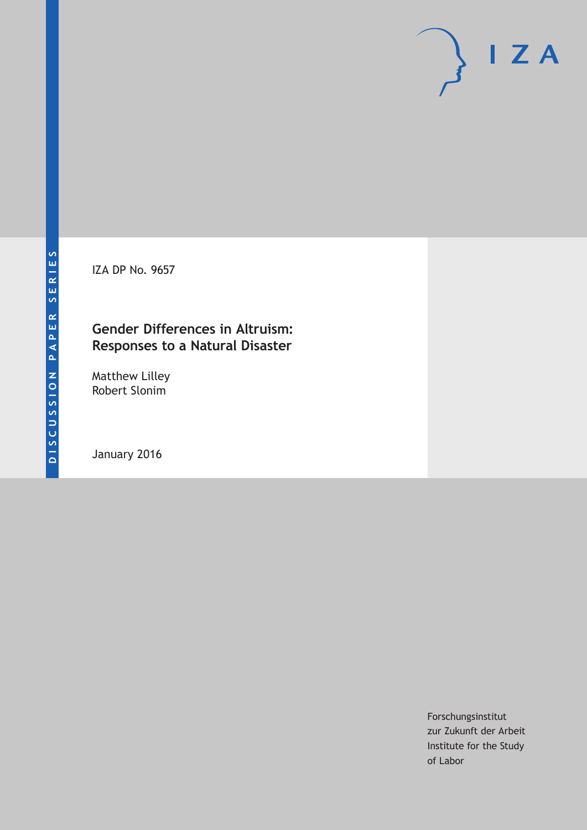IZA DP No. 9657

# **Gender Differences in Altruism: Responses to a Natural Disaster**

Matthew Lilley Robert Slonim

January 2016

Forschungsinstitut zur Zukunft der Arbeit Institute for the Study of Labor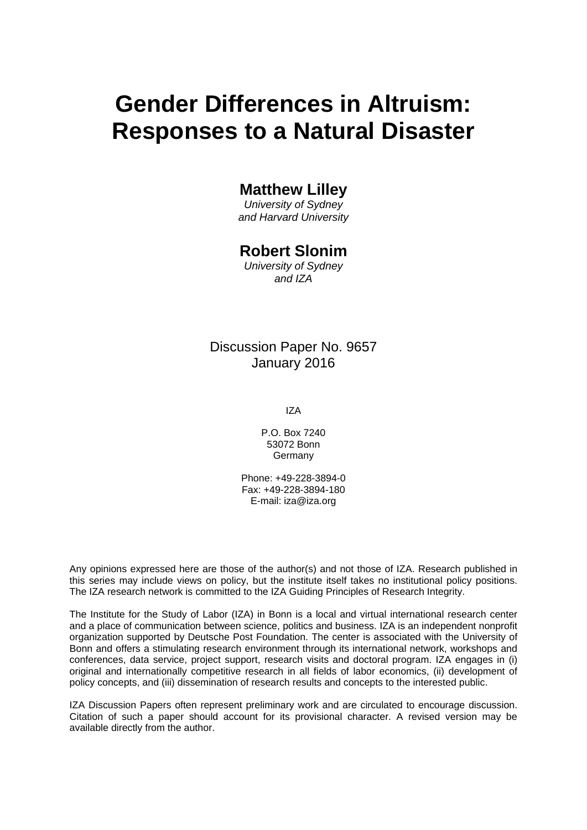# **Gender Differences in Altruism: Responses to a Natural Disaster**

# **Matthew Lilley**

*University of Sydney and Harvard University* 

# **Robert Slonim**

*University of Sydney and IZA* 

Discussion Paper No. 9657 January 2016

IZA

P.O. Box 7240 53072 Bonn Germany

Phone: +49-228-3894-0 Fax: +49-228-3894-180 E-mail: iza@iza.org

Any opinions expressed here are those of the author(s) and not those of IZA. Research published in this series may include views on policy, but the institute itself takes no institutional policy positions. The IZA research network is committed to the IZA Guiding Principles of Research Integrity.

The Institute for the Study of Labor (IZA) in Bonn is a local and virtual international research center and a place of communication between science, politics and business. IZA is an independent nonprofit organization supported by Deutsche Post Foundation. The center is associated with the University of Bonn and offers a stimulating research environment through its international network, workshops and conferences, data service, project support, research visits and doctoral program. IZA engages in (i) original and internationally competitive research in all fields of labor economics, (ii) development of policy concepts, and (iii) dissemination of research results and concepts to the interested public.

IZA Discussion Papers often represent preliminary work and are circulated to encourage discussion. Citation of such a paper should account for its provisional character. A revised version may be available directly from the author.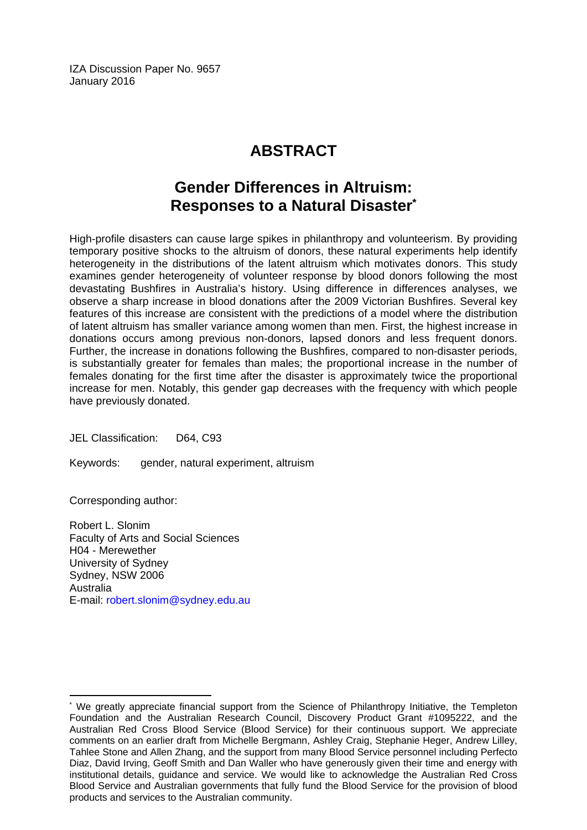IZA Discussion Paper No. 9657 January 2016

# **ABSTRACT**

# **Gender Differences in Altruism: Responses to a Natural Disaster\***

High-profile disasters can cause large spikes in philanthropy and volunteerism. By providing temporary positive shocks to the altruism of donors, these natural experiments help identify heterogeneity in the distributions of the latent altruism which motivates donors. This study examines gender heterogeneity of volunteer response by blood donors following the most devastating Bushfires in Australia's history. Using difference in differences analyses, we observe a sharp increase in blood donations after the 2009 Victorian Bushfires. Several key features of this increase are consistent with the predictions of a model where the distribution of latent altruism has smaller variance among women than men. First, the highest increase in donations occurs among previous non-donors, lapsed donors and less frequent donors. Further, the increase in donations following the Bushfires, compared to non-disaster periods, is substantially greater for females than males; the proportional increase in the number of females donating for the first time after the disaster is approximately twice the proportional increase for men. Notably, this gender gap decreases with the frequency with which people have previously donated.

JEL Classification: D64, C93

Keywords: gender, natural experiment, altruism

Corresponding author:

 $\overline{a}$ 

Robert L. Slonim Faculty of Arts and Social Sciences H04 - Merewether University of Sydney Sydney, NSW 2006 Australia E-mail: robert.slonim@sydney.edu.au

<sup>\*</sup> We greatly appreciate financial support from the Science of Philanthropy Initiative, the Templeton Foundation and the Australian Research Council, Discovery Product Grant #1095222, and the Australian Red Cross Blood Service (Blood Service) for their continuous support. We appreciate comments on an earlier draft from Michelle Bergmann, Ashley Craig, Stephanie Heger, Andrew Lilley, Tahlee Stone and Allen Zhang, and the support from many Blood Service personnel including Perfecto Diaz, David Irving, Geoff Smith and Dan Waller who have generously given their time and energy with institutional details, guidance and service. We would like to acknowledge the Australian Red Cross Blood Service and Australian governments that fully fund the Blood Service for the provision of blood products and services to the Australian community.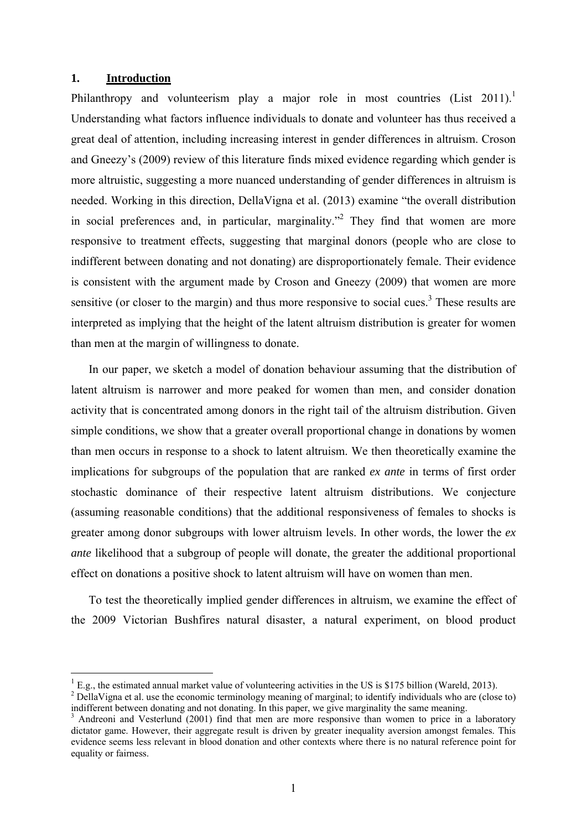## **1. Introduction**

1

Philanthropy and volunteerism play a major role in most countries  $(List 2011)^1$ . Understanding what factors influence individuals to donate and volunteer has thus received a great deal of attention, including increasing interest in gender differences in altruism. Croson and Gneezy's (2009) review of this literature finds mixed evidence regarding which gender is more altruistic, suggesting a more nuanced understanding of gender differences in altruism is needed. Working in this direction, DellaVigna et al. (2013) examine "the overall distribution in social preferences and, in particular, marginality."<sup>2</sup> They find that women are more responsive to treatment effects, suggesting that marginal donors (people who are close to indifferent between donating and not donating) are disproportionately female. Their evidence is consistent with the argument made by Croson and Gneezy (2009) that women are more sensitive (or closer to the margin) and thus more responsive to social cues.<sup>3</sup> These results are interpreted as implying that the height of the latent altruism distribution is greater for women than men at the margin of willingness to donate.

In our paper, we sketch a model of donation behaviour assuming that the distribution of latent altruism is narrower and more peaked for women than men, and consider donation activity that is concentrated among donors in the right tail of the altruism distribution. Given simple conditions, we show that a greater overall proportional change in donations by women than men occurs in response to a shock to latent altruism. We then theoretically examine the implications for subgroups of the population that are ranked *ex ante* in terms of first order stochastic dominance of their respective latent altruism distributions. We conjecture (assuming reasonable conditions) that the additional responsiveness of females to shocks is greater among donor subgroups with lower altruism levels. In other words, the lower the *ex ante* likelihood that a subgroup of people will donate, the greater the additional proportional effect on donations a positive shock to latent altruism will have on women than men.

To test the theoretically implied gender differences in altruism, we examine the effect of the 2009 Victorian Bushfires natural disaster, a natural experiment, on blood product

<sup>1</sup> E.g., the estimated annual market value of volunteering activities in the US is \$175 billion (Wareld, 2013). 2

<sup>&</sup>lt;sup>2</sup> DellaVigna et al. use the economic terminology meaning of marginal; to identify individuals who are (close to) indifferent between donating and not donating. In this paper, we give marginality the same meaning. 3

<sup>&</sup>lt;sup>3</sup> Andreoni and Vesterlund (2001) find that men are more responsive than women to price in a laboratory dictator game. However, their aggregate result is driven by greater inequality aversion amongst females. This evidence seems less relevant in blood donation and other contexts where there is no natural reference point for equality or fairness.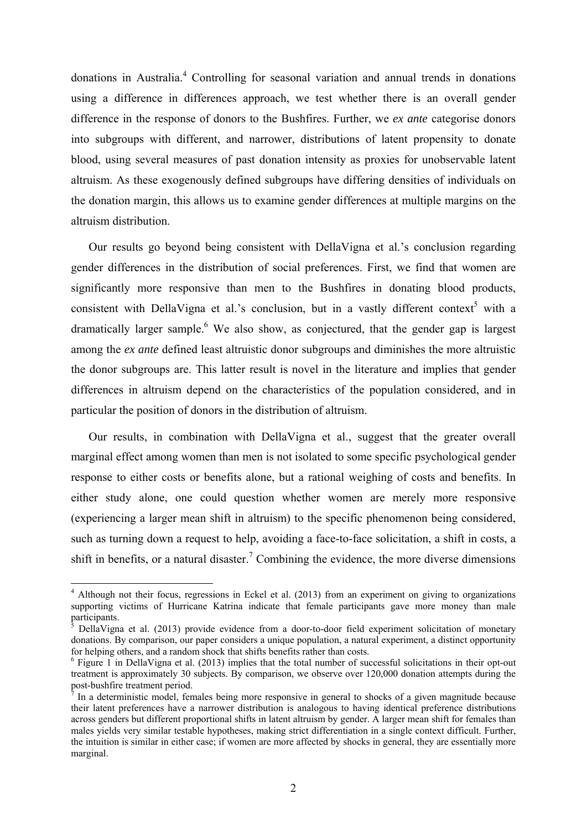donations in Australia.<sup>4</sup> Controlling for seasonal variation and annual trends in donations using a difference in differences approach, we test whether there is an overall gender difference in the response of donors to the Bushfires. Further, we *ex ante* categorise donors into subgroups with different, and narrower, distributions of latent propensity to donate blood, using several measures of past donation intensity as proxies for unobservable latent altruism. As these exogenously defined subgroups have differing densities of individuals on the donation margin, this allows us to examine gender differences at multiple margins on the altruism distribution.

Our results go beyond being consistent with DellaVigna et al.'s conclusion regarding gender differences in the distribution of social preferences. First, we find that women are significantly more responsive than men to the Bushfires in donating blood products, consistent with DellaVigna et al.'s conclusion, but in a vastly different context<sup>5</sup> with a dramatically larger sample.<sup>6</sup> We also show, as conjectured, that the gender gap is largest among the *ex ante* defined least altruistic donor subgroups and diminishes the more altruistic the donor subgroups are. This latter result is novel in the literature and implies that gender differences in altruism depend on the characteristics of the population considered, and in particular the position of donors in the distribution of altruism.

Our results, in combination with DellaVigna et al., suggest that the greater overall marginal effect among women than men is not isolated to some specific psychological gender response to either costs or benefits alone, but a rational weighing of costs and benefits. In either study alone, one could question whether women are merely more responsive (experiencing a larger mean shift in altruism) to the specific phenomenon being considered, such as turning down a request to help, avoiding a face-to-face solicitation, a shift in costs, a shift in benefits, or a natural disaster.<sup>7</sup> Combining the evidence, the more diverse dimensions

1

<sup>&</sup>lt;sup>4</sup> Although not their focus, regressions in Eckel et al. (2013) from an experiment on giving to organizations supporting victims of Hurricane Katrina indicate that female participants gave more money than male participants.<br><sup>5</sup> Delle Viene

DellaVigna et al. (2013) provide evidence from a door-to-door field experiment solicitation of monetary donations. By comparison, our paper considers a unique population, a natural experiment, a distinct opportunity for helping others, and a random shock that shifts benefits rather than costs.

 $6$  Figure 1 in DellaVigna et al. (2013) implies that the total number of successful solicitations in their opt-out treatment is approximately 30 subjects. By comparison, we observe over 120,000 donation attempts during the post-bushfire treatment period.

<sup>7</sup> In a deterministic model, females being more responsive in general to shocks of a given magnitude because their latent preferences have a narrower distribution is analogous to having identical preference distributions across genders but different proportional shifts in latent altruism by gender. A larger mean shift for females than males yields very similar testable hypotheses, making strict differentiation in a single context difficult. Further, the intuition is similar in either case; if women are more affected by shocks in general, they are essentially more marginal.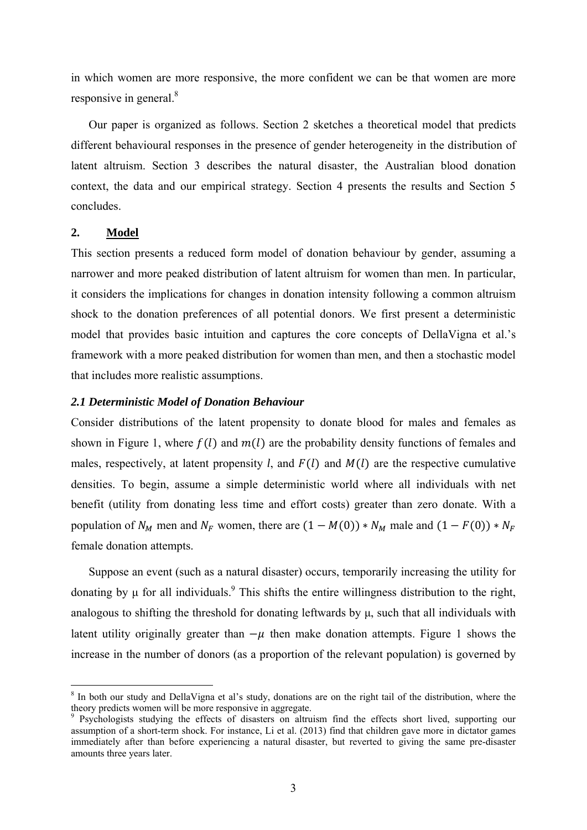in which women are more responsive, the more confident we can be that women are more responsive in general.<sup>8</sup>

Our paper is organized as follows. Section 2 sketches a theoretical model that predicts different behavioural responses in the presence of gender heterogeneity in the distribution of latent altruism. Section 3 describes the natural disaster, the Australian blood donation context, the data and our empirical strategy. Section 4 presents the results and Section 5 concludes.

# **2. Model**

1

This section presents a reduced form model of donation behaviour by gender, assuming a narrower and more peaked distribution of latent altruism for women than men. In particular, it considers the implications for changes in donation intensity following a common altruism shock to the donation preferences of all potential donors. We first present a deterministic model that provides basic intuition and captures the core concepts of DellaVigna et al.'s framework with a more peaked distribution for women than men, and then a stochastic model that includes more realistic assumptions.

## *2.1 Deterministic Model of Donation Behaviour*

Consider distributions of the latent propensity to donate blood for males and females as shown in Figure 1, where  $f(l)$  and  $m(l)$  are the probability density functions of females and males, respectively, at latent propensity *l*, and  $F(l)$  and  $M(l)$  are the respective cumulative densities. To begin, assume a simple deterministic world where all individuals with net benefit (utility from donating less time and effort costs) greater than zero donate. With a population of  $N_M$  men and  $N_F$  women, there are  $(1 - M(0)) * N_M$  male and  $(1 - F(0)) * N_F$ female donation attempts.

Suppose an event (such as a natural disaster) occurs, temporarily increasing the utility for donating by  $\mu$  for all individuals.<sup>9</sup> This shifts the entire willingness distribution to the right, analogous to shifting the threshold for donating leftwards by μ, such that all individuals with latent utility originally greater than  $-\mu$  then make donation attempts. Figure 1 shows the increase in the number of donors (as a proportion of the relevant population) is governed by

<sup>&</sup>lt;sup>8</sup> In both our study and DellaVigna et al's study, donations are on the right tail of the distribution, where the theory predicts women will be more responsive in aggregate.

<sup>&</sup>lt;sup>9</sup> Psychologists studying the effects of disasters on altruism find the effects short lived, supporting our assumption of a short-term shock. For instance, Li et al. (2013) find that children gave more in dictator games immediately after than before experiencing a natural disaster, but reverted to giving the same pre-disaster amounts three years later.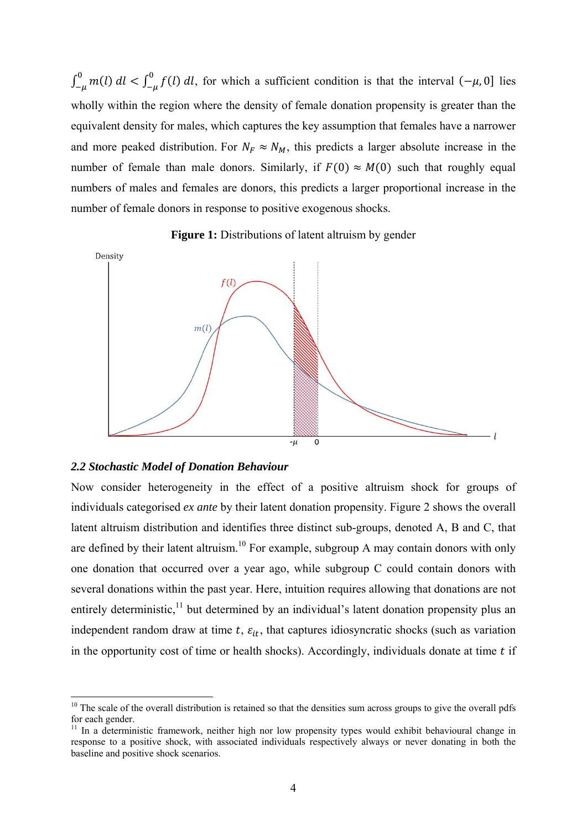$\int_{-\mu}^{0} m(l) dl < \int_{-\mu}^{0} f(l) dl$ , for which a sufficient condition is that the interval  $(-\mu, 0]$  lies wholly within the region where the density of female donation propensity is greater than the equivalent density for males, which captures the key assumption that females have a narrower and more peaked distribution. For  $N_F \approx N_M$ , this predicts a larger absolute increase in the number of female than male donors. Similarly, if  $F(0) \approx M(0)$  such that roughly equal numbers of males and females are donors, this predicts a larger proportional increase in the number of female donors in response to positive exogenous shocks.





## *2.2 Stochastic Model of Donation Behaviour*

<u>.</u>

Now consider heterogeneity in the effect of a positive altruism shock for groups of individuals categorised *ex ante* by their latent donation propensity. Figure 2 shows the overall latent altruism distribution and identifies three distinct sub-groups, denoted A, B and C, that are defined by their latent altruism.<sup>10</sup> For example, subgroup A may contain donors with only one donation that occurred over a year ago, while subgroup C could contain donors with several donations within the past year. Here, intuition requires allowing that donations are not entirely deterministic,<sup>11</sup> but determined by an individual's latent donation propensity plus an independent random draw at time  $t$ ,  $\varepsilon_{it}$ , that captures idiosyncratic shocks (such as variation in the opportunity cost of time or health shocks). Accordingly, individuals donate at time  $t$  if

 $10$  The scale of the overall distribution is retained so that the densities sum across groups to give the overall pdfs for each gender.

<sup>&</sup>lt;sup>11</sup> In a deterministic framework, neither high nor low propensity types would exhibit behavioural change in response to a positive shock, with associated individuals respectively always or never donating in both the baseline and positive shock scenarios.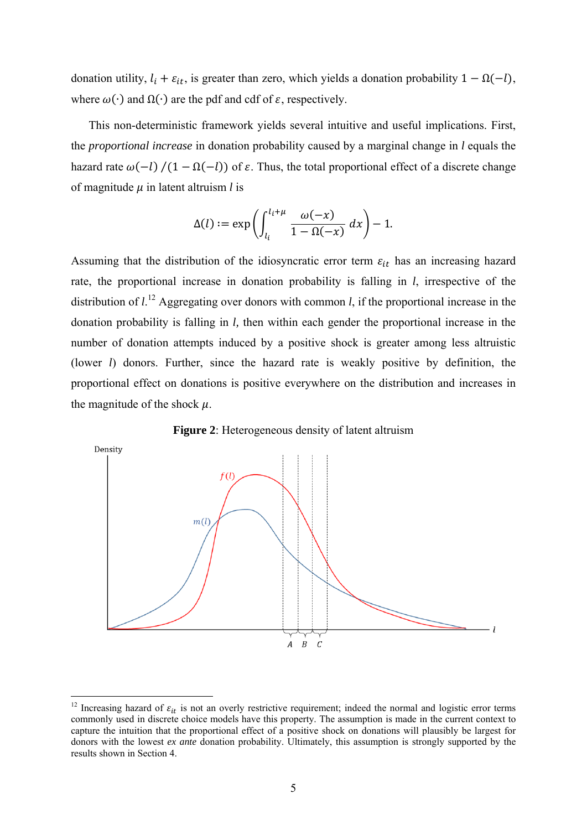donation utility,  $l_i + \varepsilon_{it}$ , is greater than zero, which yields a donation probability  $1 - \Omega(-l)$ , where  $\omega(\cdot)$  and  $\Omega(\cdot)$  are the pdf and cdf of  $\varepsilon$ , respectively.

This non-deterministic framework yields several intuitive and useful implications. First, the *proportional increase* in donation probability caused by a marginal change in *l* equals the hazard rate  $\omega(-l)/(1 - \Omega(-l))$  of  $\varepsilon$ . Thus, the total proportional effect of a discrete change of magnitude  $\mu$  in latent altruism  $l$  is

$$
\Delta(l) := \exp\left(\int_{l_i}^{l_i + \mu} \frac{\omega(-x)}{1 - \Omega(-x)} dx\right) - 1.
$$

Assuming that the distribution of the idiosyncratic error term  $\varepsilon_{it}$  has an increasing hazard rate, the proportional increase in donation probability is falling in *l*, irrespective of the distribution of  $l^{12}$ . Aggregating over donors with common *l*, if the proportional increase in the donation probability is falling in *l,* then within each gender the proportional increase in the number of donation attempts induced by a positive shock is greater among less altruistic (lower *l*) donors. Further, since the hazard rate is weakly positive by definition, the proportional effect on donations is positive everywhere on the distribution and increases in the magnitude of the shock  $\mu$ .





1

<sup>&</sup>lt;sup>12</sup> Increasing hazard of  $\varepsilon_{it}$  is not an overly restrictive requirement; indeed the normal and logistic error terms commonly used in discrete choice models have this property. The assumption is made in the current context to capture the intuition that the proportional effect of a positive shock on donations will plausibly be largest for donors with the lowest *ex ante* donation probability. Ultimately, this assumption is strongly supported by the results shown in Section 4.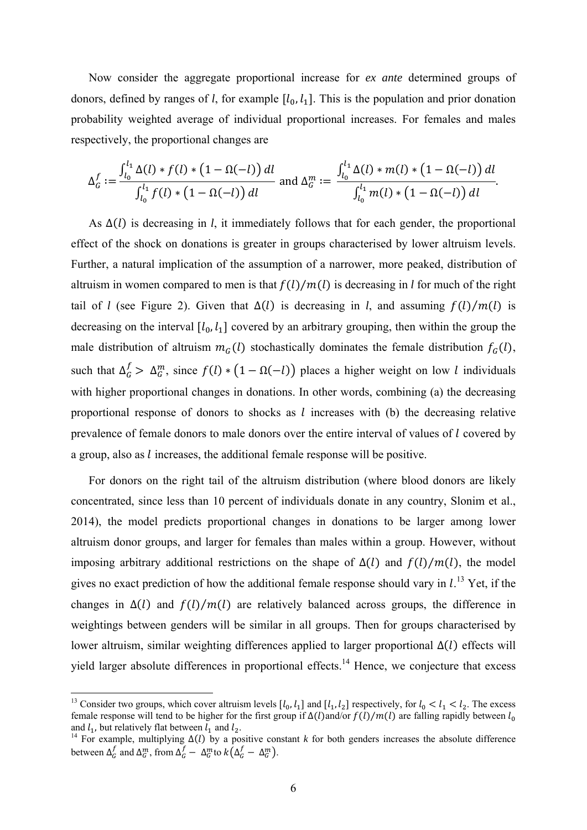Now consider the aggregate proportional increase for *ex ante* determined groups of donors, defined by ranges of *l*, for example  $[l_0, l_1]$ . This is the population and prior donation probability weighted average of individual proportional increases. For females and males respectively, the proportional changes are

$$
\Delta_G^f := \frac{\int_{l_0}^{l_1} \Delta(l) * f(l) * (1 - \Omega(-l)) \, dl}{\int_{l_0}^{l_1} f(l) * (1 - \Omega(-l)) \, dl} \text{ and } \Delta_G^m := \frac{\int_{l_0}^{l_1} \Delta(l) * m(l) * (1 - \Omega(-l)) \, dl}{\int_{l_0}^{l_1} m(l) * (1 - \Omega(-l)) \, dl}.
$$

As Δ(*l*) is decreasing in *l*, it immediately follows that for each gender, the proportional effect of the shock on donations is greater in groups characterised by lower altruism levels. Further, a natural implication of the assumption of a narrower, more peaked, distribution of altruism in women compared to men is that  $f(l)/m(l)$  is decreasing in *l* for much of the right tail of *l* (see Figure 2). Given that  $\Delta(l)$  is decreasing in *l*, and assuming  $f(l)/m(l)$  is decreasing on the interval  $[l_0, l_1]$  covered by an arbitrary grouping, then within the group the male distribution of altruism  $m_G(l)$  stochastically dominates the female distribution  $f_G(l)$ , such that  $\Delta_G^f > \Delta_G^m$ , since  $f(l) * (1 - \Omega(-l))$  places a higher weight on low *l* individuals with higher proportional changes in donations. In other words, combining (a) the decreasing proportional response of donors to shocks as  $l$  increases with (b) the decreasing relative prevalence of female donors to male donors over the entire interval of values of l covered by a group, also as *l* increases, the additional female response will be positive.

For donors on the right tail of the altruism distribution (where blood donors are likely concentrated, since less than 10 percent of individuals donate in any country, Slonim et al., 2014), the model predicts proportional changes in donations to be larger among lower altruism donor groups, and larger for females than males within a group. However, without imposing arbitrary additional restrictions on the shape of  $\Delta(l)$  and  $f(l)/m(l)$ , the model gives no exact prediction of how the additional female response should vary in  $l$ .<sup>13</sup> Yet, if the changes in  $\Delta(l)$  and  $f(l)/m(l)$  are relatively balanced across groups, the difference in weightings between genders will be similar in all groups. Then for groups characterised by lower altruism, similar weighting differences applied to larger proportional  $\Delta(l)$  effects will yield larger absolute differences in proportional effects.<sup>14</sup> Hence, we conjecture that excess

1

<sup>&</sup>lt;sup>13</sup> Consider two groups, which cover altruism levels  $[l_0, l_1]$  and  $[l_1, l_2]$  respectively, for  $l_0 < l_1 < l_2$ . The excess female response will tend to be higher for the first group if  $\Delta(l)$  and/or  $f(l)/m(l)$  are falling rapidly between  $l_0$ and  $l_1$ , but relatively flat between  $l_1$  and  $l_2$ .<br><sup>14</sup> For example, multiplying  $\Delta(l)$  by a positive constant *k* for both genders increases the absolute difference

between  $\Delta_G^f$  and  $\Delta_G^m$ , from  $\Delta_G^f - \Delta_G^m$  to  $k(\Delta_G^f - \Delta_G^m)$ .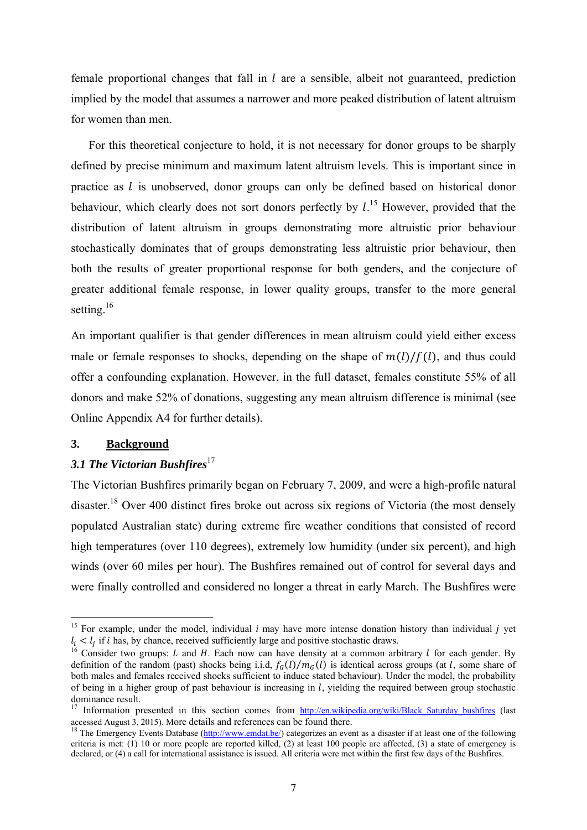female proportional changes that fall in  $l$  are a sensible, albeit not guaranteed, prediction implied by the model that assumes a narrower and more peaked distribution of latent altruism for women than men.

For this theoretical conjecture to hold, it is not necessary for donor groups to be sharply defined by precise minimum and maximum latent altruism levels. This is important since in practice as  $l$  is unobserved, donor groups can only be defined based on historical donor behaviour, which clearly does not sort donors perfectly by  $l^{15}$ . However, provided that the distribution of latent altruism in groups demonstrating more altruistic prior behaviour stochastically dominates that of groups demonstrating less altruistic prior behaviour, then both the results of greater proportional response for both genders, and the conjecture of greater additional female response, in lower quality groups, transfer to the more general setting.<sup>16</sup>

An important qualifier is that gender differences in mean altruism could yield either excess male or female responses to shocks, depending on the shape of  $m(l)/f(l)$ , and thus could offer a confounding explanation. However, in the full dataset, females constitute 55% of all donors and make 52% of donations, suggesting any mean altruism difference is minimal (see Online Appendix A4 for further details).

#### **3. Background**

1

# 3.1 The Victorian Bushfires<sup>17</sup>

The Victorian Bushfires primarily began on February 7, 2009, and were a high-profile natural disaster.<sup>18</sup> Over 400 distinct fires broke out across six regions of Victoria (the most densely populated Australian state) during extreme fire weather conditions that consisted of record high temperatures (over 110 degrees), extremely low humidity (under six percent), and high winds (over 60 miles per hour). The Bushfires remained out of control for several days and were finally controlled and considered no longer a threat in early March. The Bushfires were

<sup>&</sup>lt;sup>15</sup> For example, under the model, individual *i* may have more intense donation history than individual *i* vet  $l_i < l_j$  if *i* has, by chance, received sufficiently large and positive stochastic draws.<br><sup>16</sup> Consider two groups: *L* and *H*. Each now can have density at a common arbitrary *l* for each gender. By

definition of the random (past) shocks being i.i.d,  $f_G(l)/m_G(l)$  is identical across groups (at l, some share of both males and females received shocks sufficient to induce stated behaviour). Under the model, the probability of being in a higher group of past behaviour is increasing in  $l$ , yielding the required between group stochastic dominance result.

<sup>&</sup>lt;sup>17</sup> Information presented in this section comes from  $\frac{http://en.wikipedia.org/wiki/Black_Saturday_bushfires}{http://en.wikipedia.org/wiki/Black_Saturday_bushfires}$  (last accessed August 3, 2015). More details and references can be found there.

<sup>&</sup>lt;sup>18</sup> The Emergency Events Database ( $\frac{http://www.endat.be/})$  categorizes an event as a disaster if at least one of the following criteria is met: (1) 10 or more people are reported killed, (2) at least 100 people are affected, (3) a state of emergency is declared, or (4) a call for international assistance is issued. All criteria were met within the first few days of the Bushfires.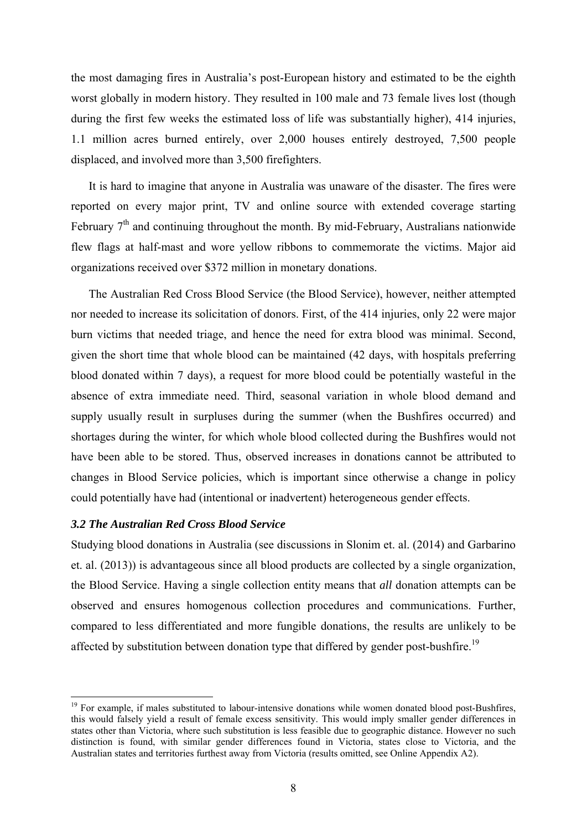the most damaging fires in Australia's post-European history and estimated to be the eighth worst globally in modern history. They resulted in 100 male and 73 female lives lost (though during the first few weeks the estimated loss of life was substantially higher), 414 injuries, 1.1 million acres burned entirely, over 2,000 houses entirely destroyed, 7,500 people displaced, and involved more than 3,500 firefighters.

It is hard to imagine that anyone in Australia was unaware of the disaster. The fires were reported on every major print, TV and online source with extended coverage starting February  $7<sup>th</sup>$  and continuing throughout the month. By mid-February, Australians nationwide flew flags at half-mast and wore yellow ribbons to commemorate the victims. Major aid organizations received over \$372 million in monetary donations.

The Australian Red Cross Blood Service (the Blood Service), however, neither attempted nor needed to increase its solicitation of donors. First, of the 414 injuries, only 22 were major burn victims that needed triage, and hence the need for extra blood was minimal. Second, given the short time that whole blood can be maintained (42 days, with hospitals preferring blood donated within 7 days), a request for more blood could be potentially wasteful in the absence of extra immediate need. Third, seasonal variation in whole blood demand and supply usually result in surpluses during the summer (when the Bushfires occurred) and shortages during the winter, for which whole blood collected during the Bushfires would not have been able to be stored. Thus, observed increases in donations cannot be attributed to changes in Blood Service policies, which is important since otherwise a change in policy could potentially have had (intentional or inadvertent) heterogeneous gender effects.

# *3.2 The Australian Red Cross Blood Service*

<u>.</u>

Studying blood donations in Australia (see discussions in Slonim et. al. (2014) and Garbarino et. al. (2013)) is advantageous since all blood products are collected by a single organization, the Blood Service. Having a single collection entity means that *all* donation attempts can be observed and ensures homogenous collection procedures and communications. Further, compared to less differentiated and more fungible donations, the results are unlikely to be affected by substitution between donation type that differed by gender post-bushfire.<sup>19</sup>

<sup>&</sup>lt;sup>19</sup> For example, if males substituted to labour-intensive donations while women donated blood post-Bushfires, this would falsely yield a result of female excess sensitivity. This would imply smaller gender differences in states other than Victoria, where such substitution is less feasible due to geographic distance. However no such distinction is found, with similar gender differences found in Victoria, states close to Victoria, and the Australian states and territories furthest away from Victoria (results omitted, see Online Appendix A2).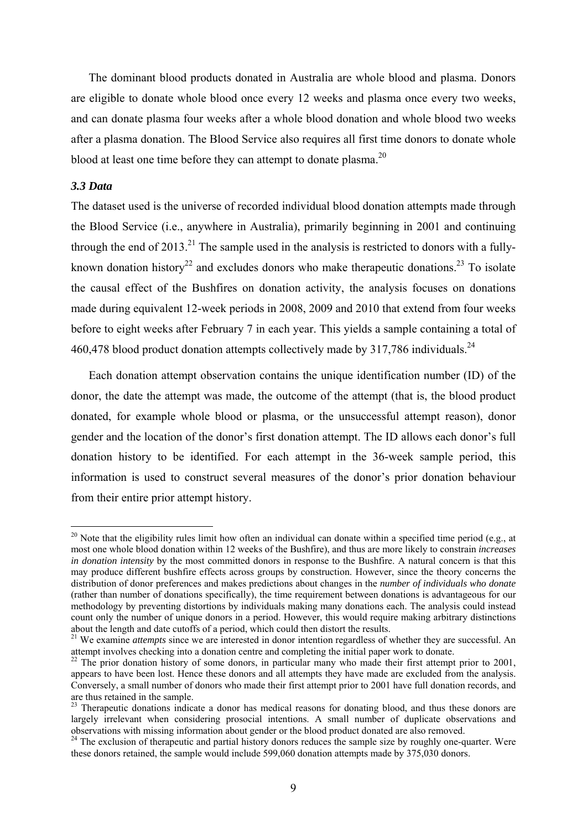The dominant blood products donated in Australia are whole blood and plasma. Donors are eligible to donate whole blood once every 12 weeks and plasma once every two weeks, and can donate plasma four weeks after a whole blood donation and whole blood two weeks after a plasma donation. The Blood Service also requires all first time donors to donate whole blood at least one time before they can attempt to donate plasma.<sup>20</sup>

#### *3.3 Data*

<u>.</u>

The dataset used is the universe of recorded individual blood donation attempts made through the Blood Service (i.e., anywhere in Australia), primarily beginning in 2001 and continuing through the end of  $2013$ <sup>21</sup>. The sample used in the analysis is restricted to donors with a fullyknown donation history<sup>22</sup> and excludes donors who make therapeutic donations.<sup>23</sup> To isolate the causal effect of the Bushfires on donation activity, the analysis focuses on donations made during equivalent 12-week periods in 2008, 2009 and 2010 that extend from four weeks before to eight weeks after February 7 in each year. This yields a sample containing a total of 460,478 blood product donation attempts collectively made by 317,786 individuals.<sup>24</sup>

Each donation attempt observation contains the unique identification number (ID) of the donor, the date the attempt was made, the outcome of the attempt (that is, the blood product donated, for example whole blood or plasma, or the unsuccessful attempt reason), donor gender and the location of the donor's first donation attempt. The ID allows each donor's full donation history to be identified. For each attempt in the 36-week sample period, this information is used to construct several measures of the donor's prior donation behaviour from their entire prior attempt history.

<sup>&</sup>lt;sup>20</sup> Note that the eligibility rules limit how often an individual can donate within a specified time period (e.g., at most one whole blood donation within 12 weeks of the Bushfire), and thus are more likely to constrain *increases in donation intensity* by the most committed donors in response to the Bushfire. A natural concern is that this may produce different bushfire effects across groups by construction. However, since the theory concerns the distribution of donor preferences and makes predictions about changes in the *number of individuals who donate* (rather than number of donations specifically), the time requirement between donations is advantageous for our methodology by preventing distortions by individuals making many donations each. The analysis could instead count only the number of unique donors in a period. However, this would require making arbitrary distinctions about the length and date cutoffs of a period, which could then distort the results.

<sup>&</sup>lt;sup>21</sup> We examine *attempts* since we are interested in donor intention regardless of whether they are successful. An attempt involves checking into a donation centre and completing the initial paper work to donate.<br><sup>22</sup> The prior donation history of some donors, in particular many who made their first attempt prior to 2001,

appears to have been lost. Hence these donors and all attempts they have made are excluded from the analysis. Conversely, a small number of donors who made their first attempt prior to 2001 have full donation records, and are thus retained in the sample.

<sup>&</sup>lt;sup>23</sup> Therapeutic donations indicate a donor has medical reasons for donating blood, and thus these donors are largely irrelevant when considering prosocial intentions. A small number of duplicate observations and observations with missing information about gender or the blood product donated are also removed.

<sup>&</sup>lt;sup>24</sup> The exclusion of therapeutic and partial history donors reduces the sample size by roughly one-quarter. Were these donors retained, the sample would include 599,060 donation attempts made by 375,030 donors.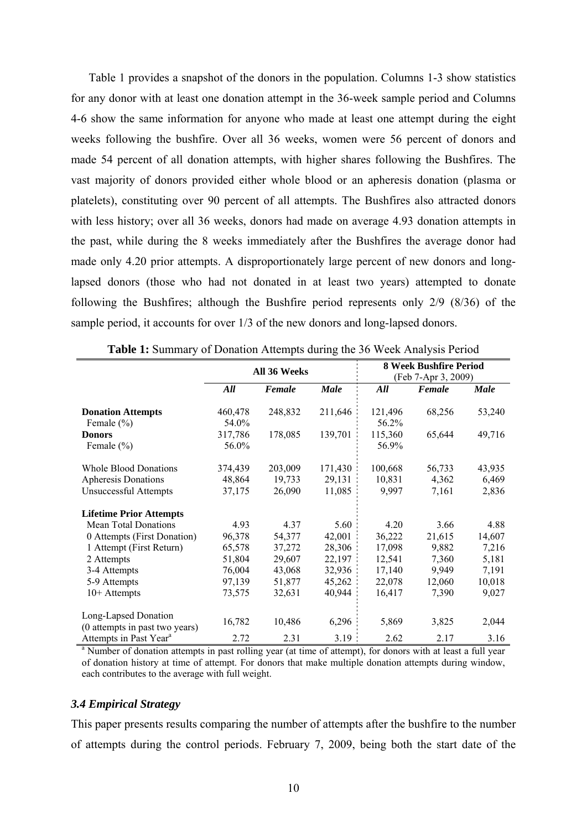Table 1 provides a snapshot of the donors in the population. Columns 1-3 show statistics for any donor with at least one donation attempt in the 36-week sample period and Columns 4-6 show the same information for anyone who made at least one attempt during the eight weeks following the bushfire. Over all 36 weeks, women were 56 percent of donors and made 54 percent of all donation attempts, with higher shares following the Bushfires. The vast majority of donors provided either whole blood or an apheresis donation (plasma or platelets), constituting over 90 percent of all attempts. The Bushfires also attracted donors with less history; over all 36 weeks, donors had made on average 4.93 donation attempts in the past, while during the 8 weeks immediately after the Bushfires the average donor had made only 4.20 prior attempts. A disproportionately large percent of new donors and longlapsed donors (those who had not donated in at least two years) attempted to donate following the Bushfires; although the Bushfire period represents only 2/9 (8/36) of the sample period, it accounts for over  $1/3$  of the new donors and long-lapsed donors.

|                                                                                                                          | All 36 Weeks                |                             |                             | 8 Week Bushfire Period<br>(Feb 7-Apr 3, 2009) |                          |                          |  |
|--------------------------------------------------------------------------------------------------------------------------|-----------------------------|-----------------------------|-----------------------------|-----------------------------------------------|--------------------------|--------------------------|--|
|                                                                                                                          | All                         | Female                      | <b>Male</b>                 | All                                           | Female                   | <b>Male</b>              |  |
| <b>Donation Attempts</b>                                                                                                 | 460,478                     | 248,832                     | 211,646                     | 121,496                                       | 68,256                   | 53,240                   |  |
| Female $(\% )$<br><b>Donors</b><br>Female $(\% )$                                                                        | 54.0%<br>317,786<br>56.0%   | 178,085                     | 139,701                     | 56.2%<br>115,360<br>56.9%                     | 65,644                   | 49,716                   |  |
| <b>Whole Blood Donations</b><br>Apheresis Donations<br><b>Unsuccessful Attempts</b>                                      | 374,439<br>48,864<br>37,175 | 203,009<br>19,733<br>26,090 | 171,430<br>29,131<br>11,085 | 100,668<br>10,831<br>9,997                    | 56,733<br>4,362<br>7,161 | 43,935<br>6,469<br>2,836 |  |
| <b>Lifetime Prior Attempts</b><br><b>Mean Total Donations</b>                                                            | 4.93                        | 4.37                        | 5.60                        | 4.20                                          | 3.66                     | 4.88                     |  |
| 0 Attempts (First Donation)<br>1 Attempt (First Return)                                                                  | 96,378<br>65,578            | 54,377<br>37,272            | 42,001<br>28,306            | 36,222<br>17,098                              | 21,615<br>9,882          | 14,607<br>7,216          |  |
| 2 Attempts<br>3-4 Attempts                                                                                               | 51,804<br>76,004            | 29,607<br>43,068            | 22,197<br>32,936            | 12,541<br>17,140                              | 7,360<br>9,949           | 5,181<br>7,191           |  |
| 5-9 Attempts<br>$10+$ Attempts                                                                                           | 97,139<br>73,575            | 51,877<br>32,631            | 45,262<br>40,944            | 22,078<br>16,417                              | 12,060<br>7,390          | 10,018<br>9,027          |  |
| Long-Lapsed Donation<br>(0 attempts in past two years)                                                                   | 16,782                      | 10,486                      | 6,296                       | 5,869                                         | 3,825                    | 2,044                    |  |
| Attempts in Past Year <sup>a</sup>                                                                                       | 2.72                        | 2.31                        | 3.19                        | 2.62                                          | 2.17                     | 3.16                     |  |
| <sup>a</sup> Number of donation attempts in past rolling year (at time of attempt), for donors with at least a full year |                             |                             |                             |                                               |                          |                          |  |

**Table 1:** Summary of Donation Attempts during the 36 Week Analysis Period

of donation history at time of attempt. For donors that make multiple donation attempts during window, each contributes to the average with full weight.

#### *3.4 Empirical Strategy*

This paper presents results comparing the number of attempts after the bushfire to the number of attempts during the control periods. February 7, 2009, being both the start date of the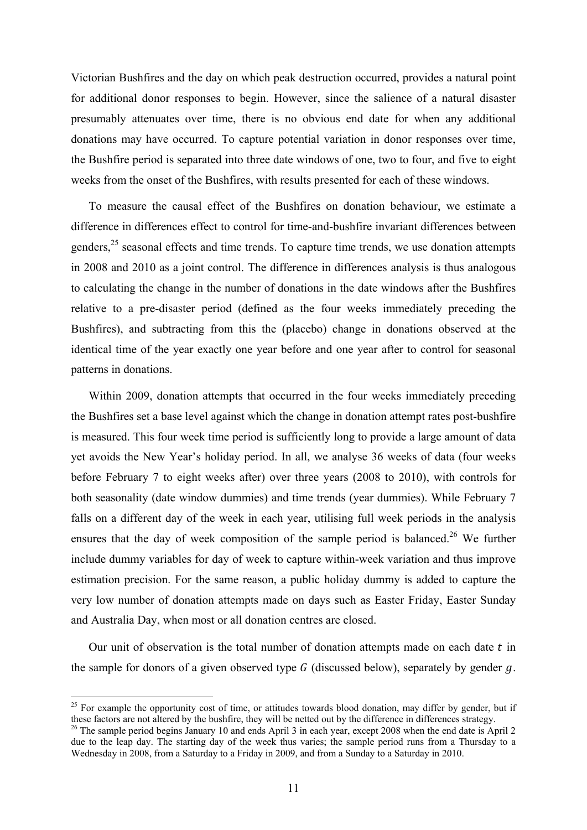Victorian Bushfires and the day on which peak destruction occurred, provides a natural point for additional donor responses to begin. However, since the salience of a natural disaster presumably attenuates over time, there is no obvious end date for when any additional donations may have occurred. To capture potential variation in donor responses over time, the Bushfire period is separated into three date windows of one, two to four, and five to eight weeks from the onset of the Bushfires, with results presented for each of these windows.

To measure the causal effect of the Bushfires on donation behaviour, we estimate a difference in differences effect to control for time-and-bushfire invariant differences between genders,<sup>25</sup> seasonal effects and time trends. To capture time trends, we use donation attempts in 2008 and 2010 as a joint control. The difference in differences analysis is thus analogous to calculating the change in the number of donations in the date windows after the Bushfires relative to a pre-disaster period (defined as the four weeks immediately preceding the Bushfires), and subtracting from this the (placebo) change in donations observed at the identical time of the year exactly one year before and one year after to control for seasonal patterns in donations.

Within 2009, donation attempts that occurred in the four weeks immediately preceding the Bushfires set a base level against which the change in donation attempt rates post-bushfire is measured. This four week time period is sufficiently long to provide a large amount of data yet avoids the New Year's holiday period. In all, we analyse 36 weeks of data (four weeks before February 7 to eight weeks after) over three years (2008 to 2010), with controls for both seasonality (date window dummies) and time trends (year dummies). While February 7 falls on a different day of the week in each year, utilising full week periods in the analysis ensures that the day of week composition of the sample period is balanced.<sup>26</sup> We further include dummy variables for day of week to capture within-week variation and thus improve estimation precision. For the same reason, a public holiday dummy is added to capture the very low number of donation attempts made on days such as Easter Friday, Easter Sunday and Australia Day, when most or all donation centres are closed.

Our unit of observation is the total number of donation attempts made on each date  $t$  in the sample for donors of a given observed type  $G$  (discussed below), separately by gender  $g$ .

<u>.</u>

 $25$  For example the opportunity cost of time, or attitudes towards blood donation, may differ by gender, but if these factors are not altered by the bushfire, they will be netted out by the difference in differences strategy.<br><sup>26</sup> The sample period begins January 10 and ends April 3 in each year, except 2008 when the end date is Apr

due to the leap day. The starting day of the week thus varies; the sample period runs from a Thursday to a Wednesday in 2008, from a Saturday to a Friday in 2009, and from a Sunday to a Saturday in 2010.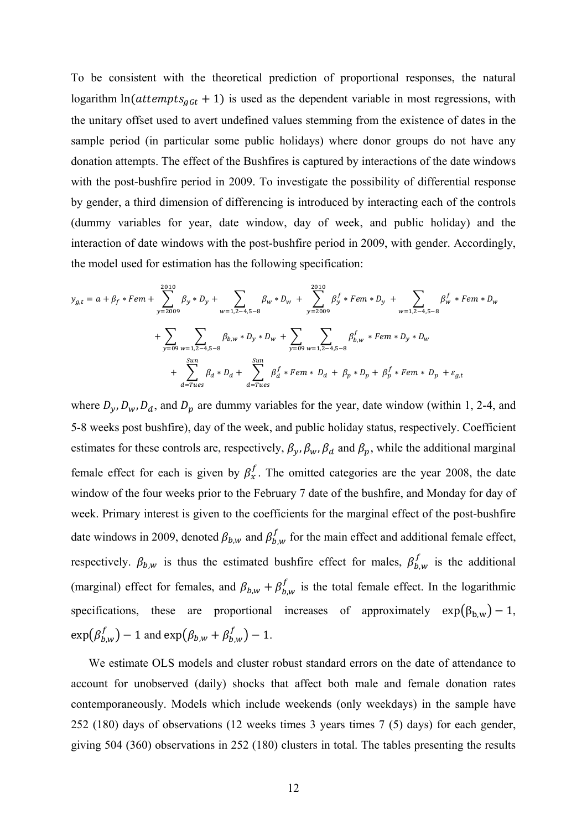To be consistent with the theoretical prediction of proportional responses, the natural logarithm  $ln(attenpts_{gGt} + 1)$  is used as the dependent variable in most regressions, with the unitary offset used to avert undefined values stemming from the existence of dates in the sample period (in particular some public holidays) where donor groups do not have any donation attempts. The effect of the Bushfires is captured by interactions of the date windows with the post-bushfire period in 2009. To investigate the possibility of differential response by gender, a third dimension of differencing is introduced by interacting each of the controls (dummy variables for year, date window, day of week, and public holiday) and the interaction of date windows with the post-bushfire period in 2009, with gender. Accordingly, the model used for estimation has the following specification:

$$
y_{g,t} = a + \beta_f * Fem + \sum_{y=2009}^{2010} \beta_y * D_y + \sum_{w=1,2-4,5-8} \beta_w * D_w + \sum_{y=2009}^{2010} \beta_y^f * Fem * D_y + \sum_{w=1,2-4,5-8} \beta_w^f * Fem * D_w
$$
  
+ 
$$
\sum_{y=09}^{5010} \sum_{w=1,2-4,5-8} \beta_{b,w} * D_y * D_w + \sum_{y=09}^{2010} \sum_{w=1,2-4,5-8} \beta_{b,w}^f * Fem * D_y * D_w
$$
  
+ 
$$
\sum_{d=Trues}^{5un} \beta_d * D_d + \sum_{d=Trues}^{5un} \beta_d^f * Fem * D_d + \beta_p * D_p + \beta_p^f * Fem * D_p + \varepsilon_{g,t}
$$

where  $D_y$ ,  $D_w$ ,  $D_d$ , and  $D_p$  are dummy variables for the year, date window (within 1, 2-4, and 5-8 weeks post bushfire), day of the week, and public holiday status, respectively. Coefficient estimates for these controls are, respectively,  $\beta_y$ ,  $\beta_w$ ,  $\beta_d$  and  $\beta_p$ , while the additional marginal female effect for each is given by  $\beta_x^f$ . The omitted categories are the year 2008, the date window of the four weeks prior to the February 7 date of the bushfire, and Monday for day of week. Primary interest is given to the coefficients for the marginal effect of the post-bushfire date windows in 2009, denoted  $\beta_{b,w}$  and  $\beta_{b,w}^f$  for the main effect and additional female effect, respectively.  $\beta_{b,w}$  is thus the estimated bushfire effect for males,  $\beta_{b,w}^f$  is the additional (marginal) effect for females, and  $\beta_{b,w} + \beta_{b,w}^f$  is the total female effect. In the logarithmic specifications, these are proportional increases of approximately  $exp(\beta_{b,w}) - 1$ ,  $\exp(\beta_{b,w}^f) - 1$  and  $\exp(\beta_{b,w} + \beta_{b,w}^f) - 1$ .

We estimate OLS models and cluster robust standard errors on the date of attendance to account for unobserved (daily) shocks that affect both male and female donation rates contemporaneously. Models which include weekends (only weekdays) in the sample have 252 (180) days of observations (12 weeks times 3 years times 7 (5) days) for each gender, giving 504 (360) observations in 252 (180) clusters in total. The tables presenting the results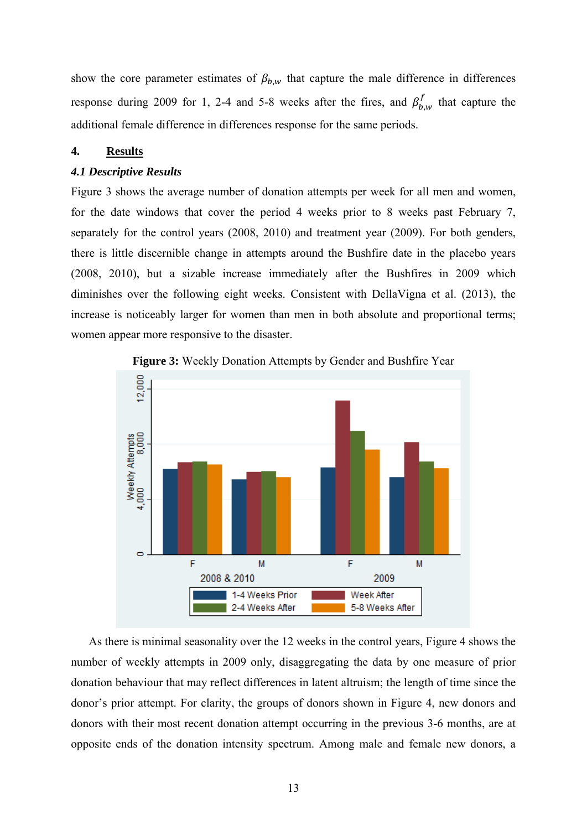show the core parameter estimates of  $\beta_{b,w}$  that capture the male difference in differences response during 2009 for 1, 2-4 and 5-8 weeks after the fires, and  $\beta_{b,w}^f$  that capture the additional female difference in differences response for the same periods.

## **4. Results**

# *4.1 Descriptive Results*

Figure 3 shows the average number of donation attempts per week for all men and women, for the date windows that cover the period 4 weeks prior to 8 weeks past February 7, separately for the control years (2008, 2010) and treatment year (2009). For both genders, there is little discernible change in attempts around the Bushfire date in the placebo years (2008, 2010), but a sizable increase immediately after the Bushfires in 2009 which diminishes over the following eight weeks. Consistent with DellaVigna et al. (2013), the increase is noticeably larger for women than men in both absolute and proportional terms; women appear more responsive to the disaster.



**Figure 3:** Weekly Donation Attempts by Gender and Bushfire Year

As there is minimal seasonality over the 12 weeks in the control years, Figure 4 shows the number of weekly attempts in 2009 only, disaggregating the data by one measure of prior donation behaviour that may reflect differences in latent altruism; the length of time since the donor's prior attempt. For clarity, the groups of donors shown in Figure 4, new donors and donors with their most recent donation attempt occurring in the previous 3-6 months, are at opposite ends of the donation intensity spectrum. Among male and female new donors, a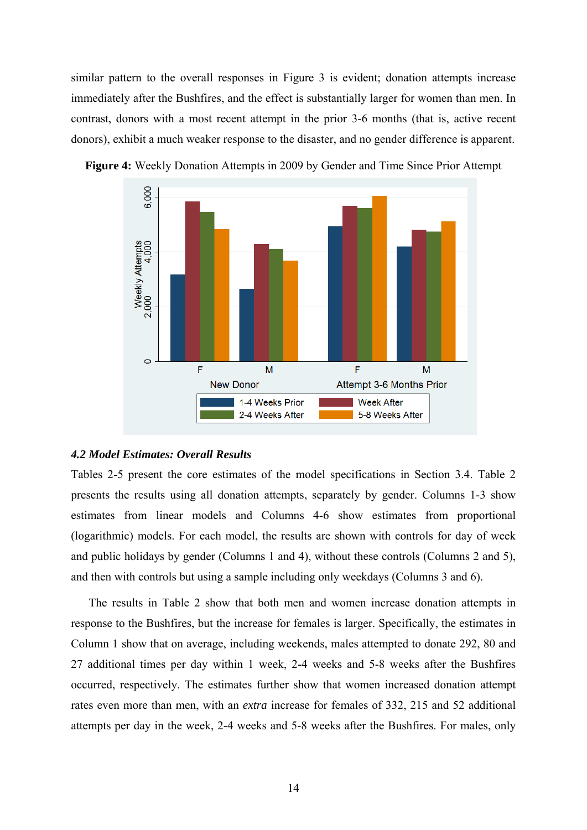similar pattern to the overall responses in Figure 3 is evident; donation attempts increase immediately after the Bushfires, and the effect is substantially larger for women than men. In contrast, donors with a most recent attempt in the prior 3-6 months (that is, active recent donors), exhibit a much weaker response to the disaster, and no gender difference is apparent.



**Figure 4:** Weekly Donation Attempts in 2009 by Gender and Time Since Prior Attempt

## *4.2 Model Estimates: Overall Results*

Tables 2-5 present the core estimates of the model specifications in Section 3.4. Table 2 presents the results using all donation attempts, separately by gender. Columns 1-3 show estimates from linear models and Columns 4-6 show estimates from proportional (logarithmic) models. For each model, the results are shown with controls for day of week and public holidays by gender (Columns 1 and 4), without these controls (Columns 2 and 5), and then with controls but using a sample including only weekdays (Columns 3 and 6).

The results in Table 2 show that both men and women increase donation attempts in response to the Bushfires, but the increase for females is larger. Specifically, the estimates in Column 1 show that on average, including weekends, males attempted to donate 292, 80 and 27 additional times per day within 1 week, 2-4 weeks and 5-8 weeks after the Bushfires occurred, respectively. The estimates further show that women increased donation attempt rates even more than men, with an *extra* increase for females of 332, 215 and 52 additional attempts per day in the week, 2-4 weeks and 5-8 weeks after the Bushfires. For males, only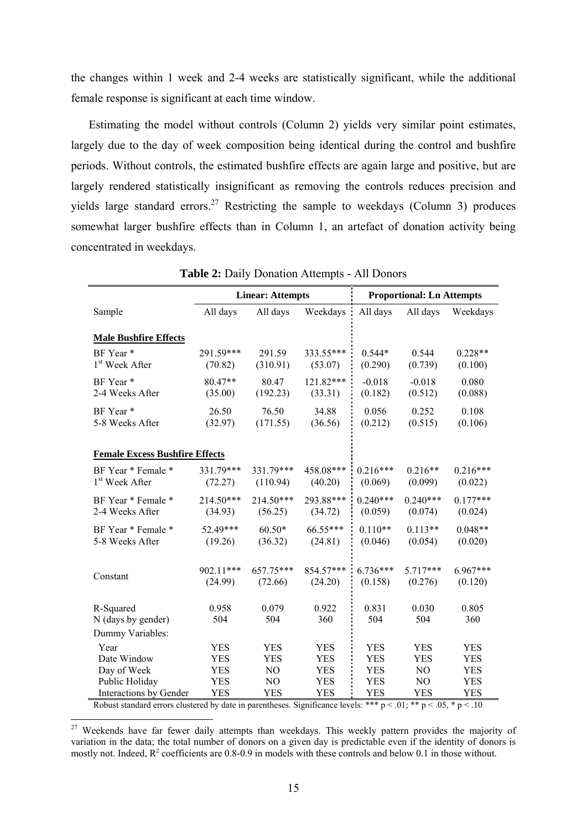the changes within 1 week and 2-4 weeks are statistically significant, while the additional female response is significant at each time window.

Estimating the model without controls (Column 2) yields very similar point estimates, largely due to the day of week composition being identical during the control and bushfire periods. Without controls, the estimated bushfire effects are again large and positive, but are largely rendered statistically insignificant as removing the controls reduces precision and yields large standard errors.<sup>27</sup> Restricting the sample to weekdays (Column 3) produces somewhat larger bushfire effects than in Column 1, an artefact of donation activity being concentrated in weekdays.

|                                       |              | <b>Linear: Attempts</b> |              |              | <b>Proportional: Ln Attempts</b> |              |
|---------------------------------------|--------------|-------------------------|--------------|--------------|----------------------------------|--------------|
| Sample                                | All days     | All days                | Weekdays     | All days     | All days                         | Weekdays     |
|                                       |              |                         |              |              |                                  |              |
| <b>Male Bushfire Effects</b>          |              |                         |              |              |                                  |              |
| BF Year*                              | 291.59***    | 291.59                  | 333.55***    | $0.544*$     | 0.544                            | $0.228**$    |
| 1 <sup>st</sup> Week After            | (70.82)      | (310.91)                | (53.07)      | (0.290)      | (0.739)                          | (0.100)      |
| BF Year*                              | $80.47**$    | 80.47                   | $121.82***$  | $-0.018$     | $-0.018$                         | 0.080        |
| 2-4 Weeks After                       | (35.00)      | (192.23)                | (33.31)      | (0.182)      | (0.512)                          | (0.088)      |
| BF Year*                              | 26.50        | 76.50                   | 34.88        | 0.056        | 0.252                            | 0.108        |
| 5-8 Weeks After                       | (32.97)      | (171.55)                | (36.56)      | (0.212)      | (0.515)                          | (0.106)      |
|                                       |              |                         |              |              |                                  |              |
| <b>Female Excess Bushfire Effects</b> |              |                         |              |              |                                  |              |
| BF Year * Female *                    | 331.79***    | 331.79***               | 458.08***    | $0.216***$   | $0.216**$                        | $0.216***$   |
| 1 <sup>st</sup> Week After            | (72.27)      | (110.94)                | (40.20)      | (0.069)      | (0.099)                          | (0.022)      |
| BF Year * Female *                    | 214.50***    | 214.50***               | 293.88***    | $0.240***$   | $0.240***$                       | $0.177***$   |
| 2-4 Weeks After                       | (34.93)      | (56.25)                 | (34.72)      | (0.059)      | (0.074)                          | (0.024)      |
| BF Year * Female *                    | 52.49***     | $60.50*$                | 66.55***     | $0.110**$    | $0.113**$                        | $0.048**$    |
| 5-8 Weeks After                       | (19.26)      | (36.32)                 | (24.81)      | (0.046)      | (0.054)                          | (0.020)      |
|                                       |              |                         |              |              |                                  |              |
| Constant                              | 902.11***    | 657.75***               | 854.57***    | $6.736***$   | $5.717***$                       | $6.967***$   |
|                                       | (24.99)      | (72.66)                 | (24.20)      | (0.158)      | (0.276)                          | (0.120)      |
|                                       |              |                         |              |              |                                  |              |
| R-Squared                             | 0.958<br>504 | 0.079<br>504            | 0.922<br>360 | 0.831<br>504 | 0.030<br>504                     | 0.805<br>360 |
| N (days by gender)                    |              |                         |              |              |                                  |              |
| Dummy Variables:                      |              |                         |              |              |                                  |              |
| Year                                  | <b>YES</b>   | <b>YES</b>              | YES          | <b>YES</b>   | <b>YES</b>                       | <b>YES</b>   |
| Date Window                           | <b>YES</b>   | <b>YES</b>              | <b>YES</b>   | <b>YES</b>   | <b>YES</b>                       | <b>YES</b>   |
| Day of Week                           | <b>YES</b>   | N <sub>O</sub>          | <b>YES</b>   | <b>YES</b>   | N <sub>O</sub>                   | <b>YES</b>   |
| Public Holiday                        | <b>YES</b>   | N <sub>O</sub>          | <b>YES</b>   | <b>YES</b>   | N <sub>O</sub>                   | <b>YES</b>   |
| Interactions by Gender                | <b>YES</b>   | <b>YES</b>              | <b>YES</b>   | <b>YES</b>   | <b>YES</b>                       | <b>YES</b>   |

**Table 2:** Daily Donation Attempts - All Donors

Robust standard errors clustered by date in parentheses. Significance levels: \*\*\*  $p < .01$ ; \*\*  $p < .05$ , \*  $p < .10$ 

1

<sup>27</sup> Weekends have far fewer daily attempts than weekdays. This weekly pattern provides the majority of variation in the data; the total number of donors on a given day is predictable even if the identity of donors is mostly not. Indeed,  $R^2$  coefficients are 0.8-0.9 in models with these controls and below 0.1 in those without.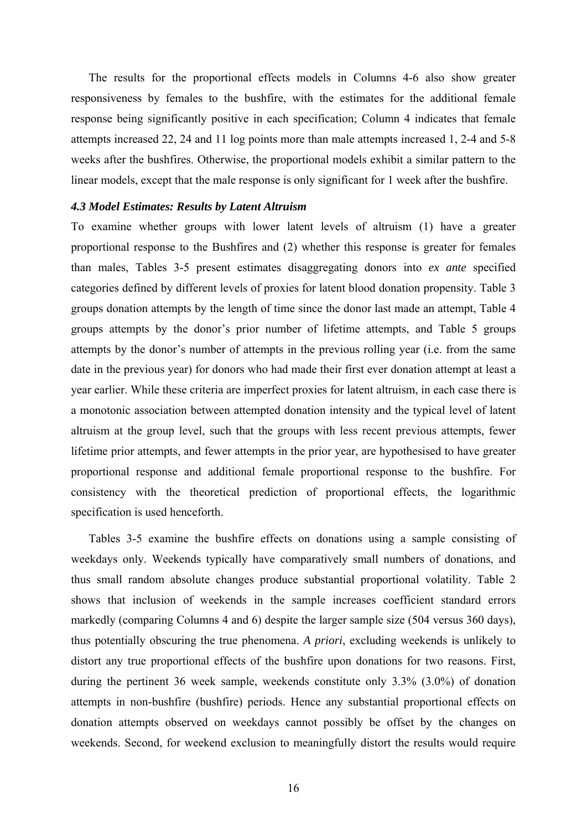The results for the proportional effects models in Columns 4-6 also show greater responsiveness by females to the bushfire, with the estimates for the additional female response being significantly positive in each specification; Column 4 indicates that female attempts increased 22, 24 and 11 log points more than male attempts increased 1, 2-4 and 5-8 weeks after the bushfires. Otherwise, the proportional models exhibit a similar pattern to the linear models, except that the male response is only significant for 1 week after the bushfire.

#### *4.3 Model Estimates: Results by Latent Altruism*

To examine whether groups with lower latent levels of altruism (1) have a greater proportional response to the Bushfires and (2) whether this response is greater for females than males, Tables 3-5 present estimates disaggregating donors into *ex ante* specified categories defined by different levels of proxies for latent blood donation propensity. Table 3 groups donation attempts by the length of time since the donor last made an attempt, Table 4 groups attempts by the donor's prior number of lifetime attempts, and Table 5 groups attempts by the donor's number of attempts in the previous rolling year (i.e. from the same date in the previous year) for donors who had made their first ever donation attempt at least a year earlier. While these criteria are imperfect proxies for latent altruism, in each case there is a monotonic association between attempted donation intensity and the typical level of latent altruism at the group level, such that the groups with less recent previous attempts, fewer lifetime prior attempts, and fewer attempts in the prior year, are hypothesised to have greater proportional response and additional female proportional response to the bushfire. For consistency with the theoretical prediction of proportional effects, the logarithmic specification is used henceforth.

Tables 3-5 examine the bushfire effects on donations using a sample consisting of weekdays only. Weekends typically have comparatively small numbers of donations, and thus small random absolute changes produce substantial proportional volatility. Table 2 shows that inclusion of weekends in the sample increases coefficient standard errors markedly (comparing Columns 4 and 6) despite the larger sample size (504 versus 360 days), thus potentially obscuring the true phenomena. *A priori*, excluding weekends is unlikely to distort any true proportional effects of the bushfire upon donations for two reasons. First, during the pertinent 36 week sample, weekends constitute only 3.3% (3.0%) of donation attempts in non-bushfire (bushfire) periods. Hence any substantial proportional effects on donation attempts observed on weekdays cannot possibly be offset by the changes on weekends. Second, for weekend exclusion to meaningfully distort the results would require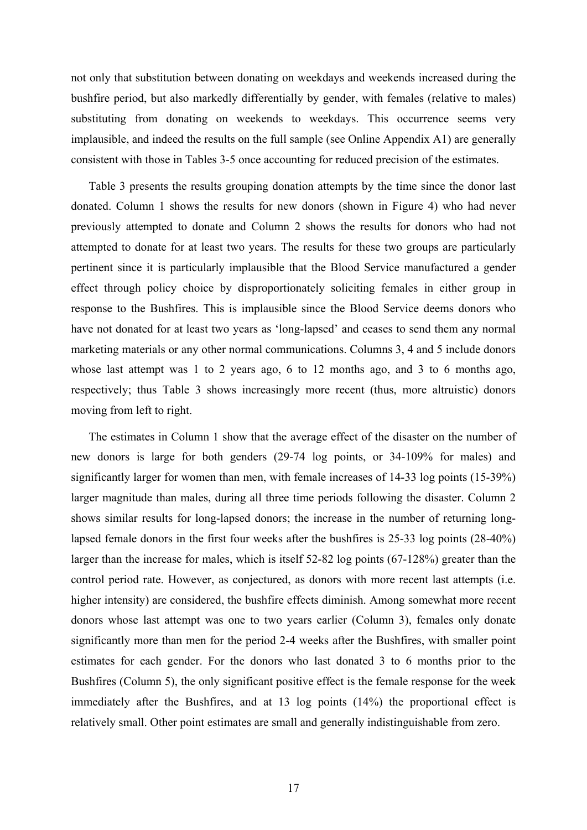not only that substitution between donating on weekdays and weekends increased during the bushfire period, but also markedly differentially by gender, with females (relative to males) substituting from donating on weekends to weekdays. This occurrence seems very implausible, and indeed the results on the full sample (see Online Appendix A1) are generally consistent with those in Tables 3-5 once accounting for reduced precision of the estimates.

Table 3 presents the results grouping donation attempts by the time since the donor last donated. Column 1 shows the results for new donors (shown in Figure 4) who had never previously attempted to donate and Column 2 shows the results for donors who had not attempted to donate for at least two years. The results for these two groups are particularly pertinent since it is particularly implausible that the Blood Service manufactured a gender effect through policy choice by disproportionately soliciting females in either group in response to the Bushfires. This is implausible since the Blood Service deems donors who have not donated for at least two years as 'long-lapsed' and ceases to send them any normal marketing materials or any other normal communications. Columns 3, 4 and 5 include donors whose last attempt was 1 to 2 years ago, 6 to 12 months ago, and 3 to 6 months ago, respectively; thus Table 3 shows increasingly more recent (thus, more altruistic) donors moving from left to right.

The estimates in Column 1 show that the average effect of the disaster on the number of new donors is large for both genders (29-74 log points, or 34-109% for males) and significantly larger for women than men, with female increases of 14-33 log points (15-39%) larger magnitude than males, during all three time periods following the disaster. Column 2 shows similar results for long-lapsed donors; the increase in the number of returning longlapsed female donors in the first four weeks after the bushfires is 25-33 log points (28-40%) larger than the increase for males, which is itself 52-82 log points (67-128%) greater than the control period rate. However, as conjectured, as donors with more recent last attempts (i.e. higher intensity) are considered, the bushfire effects diminish. Among somewhat more recent donors whose last attempt was one to two years earlier (Column 3), females only donate significantly more than men for the period 2-4 weeks after the Bushfires, with smaller point estimates for each gender. For the donors who last donated 3 to 6 months prior to the Bushfires (Column 5), the only significant positive effect is the female response for the week immediately after the Bushfires, and at 13 log points (14%) the proportional effect is relatively small. Other point estimates are small and generally indistinguishable from zero.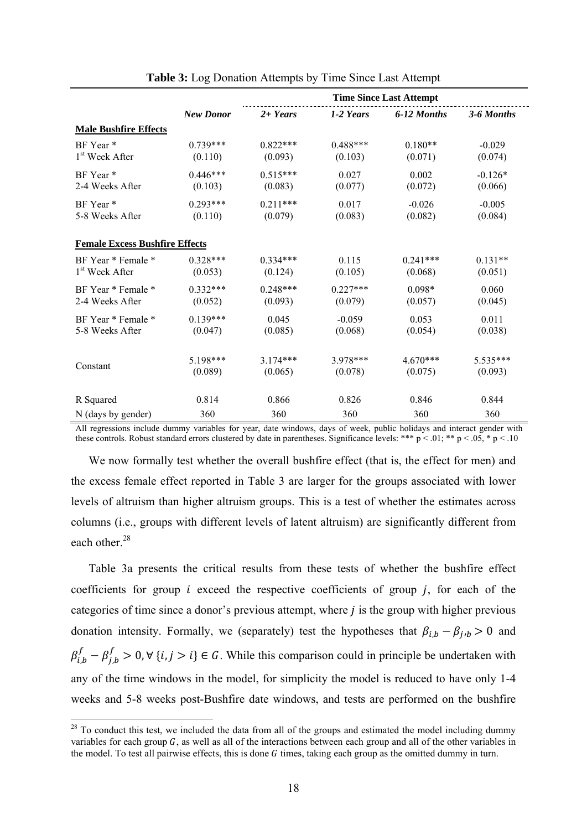|                                       |                  | <b>Time Since Last Attempt</b> |            |             |            |  |  |  |
|---------------------------------------|------------------|--------------------------------|------------|-------------|------------|--|--|--|
|                                       | <b>New Donor</b> | $2 + Years$                    | 1-2 Years  | 6-12 Months | 3-6 Months |  |  |  |
| <b>Male Bushfire Effects</b>          |                  |                                |            |             |            |  |  |  |
| BF Year*                              | $0.739***$       | $0.822***$                     | $0.488***$ | $0.180**$   | $-0.029$   |  |  |  |
| 1 <sup>st</sup> Week After            | (0.110)          | (0.093)                        | (0.103)    | (0.071)     | (0.074)    |  |  |  |
| BF Year <sup>*</sup>                  | $0.446***$       | $0.515***$                     | 0.027      | 0.002       | $-0.126*$  |  |  |  |
| 2-4 Weeks After                       | (0.103)          | (0.083)                        | (0.077)    | (0.072)     | (0.066)    |  |  |  |
| BF Year*                              | $0.293***$       | $0.211***$                     | 0.017      | $-0.026$    | $-0.005$   |  |  |  |
| 5-8 Weeks After                       | (0.110)          | (0.079)                        | (0.083)    | (0.082)     | (0.084)    |  |  |  |
| <b>Female Excess Bushfire Effects</b> |                  |                                |            |             |            |  |  |  |
| BF Year * Female *                    | $0.328***$       | $0.334***$                     | 0.115      | $0.241***$  | $0.131**$  |  |  |  |
| 1 <sup>st</sup> Week After            | (0.053)          | (0.124)                        | (0.105)    | (0.068)     | (0.051)    |  |  |  |
| BF Year * Female *                    | $0.332***$       | $0.248***$                     | $0.227***$ | $0.098*$    | 0.060      |  |  |  |
| 2-4 Weeks After                       | (0.052)          | (0.093)                        | (0.079)    | (0.057)     | (0.045)    |  |  |  |
| BF Year * Female *                    | $0.139***$       | 0.045                          | $-0.059$   | 0.053       | 0.011      |  |  |  |
| 5-8 Weeks After                       | (0.047)          | (0.085)                        | (0.068)    | (0.054)     | (0.038)    |  |  |  |
| Constant                              | $5198***$        | $3174***$                      | 3 978 ***  | $4.670***$  | 5.535***   |  |  |  |
|                                       | (0.089)          | (0.065)                        | (0.078)    | (0.075)     | (0.093)    |  |  |  |
| R Squared                             | 0.814            | 0.866                          | 0.826      | 0.846       | 0.844      |  |  |  |
| N (days by gender)                    | 360              | 360                            | 360        | 360         | 360        |  |  |  |

**Table 3:** Log Donation Attempts by Time Since Last Attempt

All regressions include dummy variables for year, date windows, days of week, public holidays and interact gender with these controls. Robust standard errors clustered by date in parentheses. Significance levels: \*\*\* p < .01; \*\* p < .05, \* p < .10

We now formally test whether the overall bushfire effect (that is, the effect for men) and the excess female effect reported in Table 3 are larger for the groups associated with lower levels of altruism than higher altruism groups. This is a test of whether the estimates across columns (i.e., groups with different levels of latent altruism) are significantly different from each other.<sup>28</sup>

Table 3a presents the critical results from these tests of whether the bushfire effect coefficients for group  $i$  exceed the respective coefficients of group  $j$ , for each of the categories of time since a donor's previous attempt, where  $j$  is the group with higher previous donation intensity. Formally, we (separately) test the hypotheses that  $\beta_{i,b} - \beta_{i,b} > 0$  and  $\beta_{i,b}^f - \beta_{j,b}^f > 0$ ,  $\forall$  {*i*, *j* > *i*}  $\in$  *G*. While this comparison could in principle be undertaken with any of the time windows in the model, for simplicity the model is reduced to have only 1-4 weeks and 5-8 weeks post-Bushfire date windows, and tests are performed on the bushfire

1

 $28$  To conduct this test, we included the data from all of the groups and estimated the model including dummy variables for each group  $G$ , as well as all of the interactions between each group and all of the other variables in the model. To test all pairwise effects, this is done  $G$  times, taking each group as the omitted dummy in turn.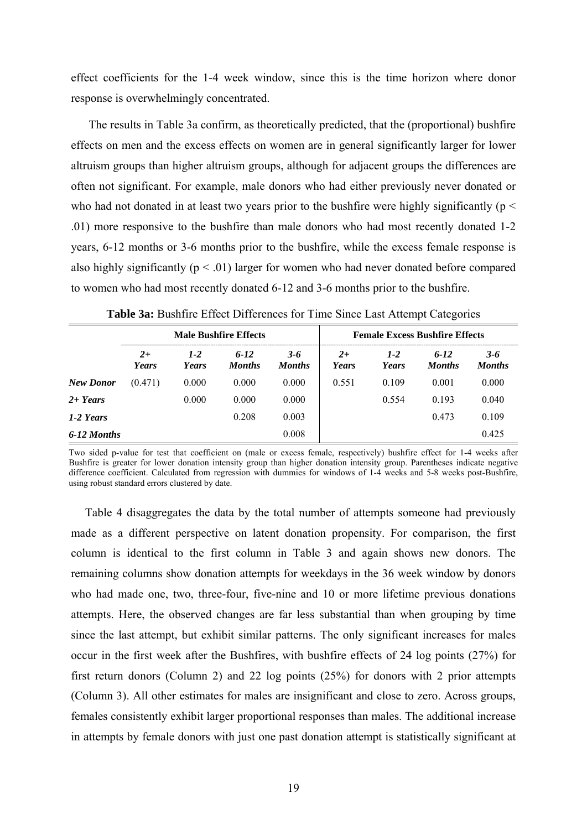effect coefficients for the 1-4 week window, since this is the time horizon where donor response is overwhelmingly concentrated.

The results in Table 3a confirm, as theoretically predicted, that the (proportional) bushfire effects on men and the excess effects on women are in general significantly larger for lower altruism groups than higher altruism groups, although for adjacent groups the differences are often not significant. For example, male donors who had either previously never donated or who had not donated in at least two years prior to the bushfire were highly significantly ( $p <$ .01) more responsive to the bushfire than male donors who had most recently donated 1-2 years, 6-12 months or 3-6 months prior to the bushfire, while the excess female response is also highly significantly ( $p < .01$ ) larger for women who had never donated before compared to women who had most recently donated 6-12 and 3-6 months prior to the bushfire.

|                  | <b>Male Bushfire Effects</b> |                  |                           |                          |                         |                  | <b>Female Excess Bushfire Effects</b> |                          |
|------------------|------------------------------|------------------|---------------------------|--------------------------|-------------------------|------------------|---------------------------------------|--------------------------|
|                  | $2+$<br>Years                | $1 - 2$<br>Years | $6 - 12$<br><b>Months</b> | $3 - 6$<br><b>Months</b> | $2^{+}$<br><b>Years</b> | $1 - 2$<br>Years | $6 - 12$<br><b>Months</b>             | $3 - 6$<br><b>Months</b> |
| <b>New Donor</b> | (0.471)                      | 0.000            | 0.000                     | 0.000                    | 0.551                   | 0.109            | 0.001                                 | 0.000                    |
| $2 + Years$      |                              | 0.000            | 0.000                     | 0.000                    |                         | 0.554            | 0.193                                 | 0.040                    |
| 1-2 Years        |                              |                  | 0.208                     | 0.003                    |                         |                  | 0.473                                 | 0.109                    |
| 6-12 Months      |                              |                  |                           | 0.008                    |                         |                  |                                       | 0.425                    |

**Table 3a:** Bushfire Effect Differences for Time Since Last Attempt Categories

Two sided p-value for test that coefficient on (male or excess female, respectively) bushfire effect for 1-4 weeks after Bushfire is greater for lower donation intensity group than higher donation intensity group. Parentheses indicate negative difference coefficient. Calculated from regression with dummies for windows of 1-4 weeks and 5-8 weeks post-Bushfire, using robust standard errors clustered by date.

Table 4 disaggregates the data by the total number of attempts someone had previously made as a different perspective on latent donation propensity. For comparison, the first column is identical to the first column in Table 3 and again shows new donors. The remaining columns show donation attempts for weekdays in the 36 week window by donors who had made one, two, three-four, five-nine and 10 or more lifetime previous donations attempts. Here, the observed changes are far less substantial than when grouping by time since the last attempt, but exhibit similar patterns. The only significant increases for males occur in the first week after the Bushfires, with bushfire effects of 24 log points (27%) for first return donors (Column 2) and 22 log points (25%) for donors with 2 prior attempts (Column 3). All other estimates for males are insignificant and close to zero. Across groups, females consistently exhibit larger proportional responses than males. The additional increase in attempts by female donors with just one past donation attempt is statistically significant at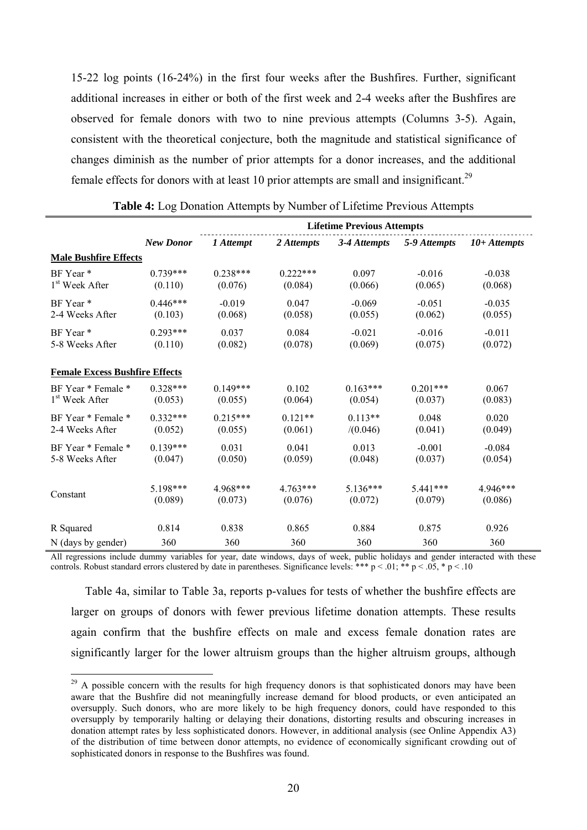15-22 log points (16-24%) in the first four weeks after the Bushfires. Further, significant additional increases in either or both of the first week and 2-4 weeks after the Bushfires are observed for female donors with two to nine previous attempts (Columns 3-5). Again, consistent with the theoretical conjecture, both the magnitude and statistical significance of changes diminish as the number of prior attempts for a donor increases, and the additional female effects for donors with at least 10 prior attempts are small and insignificant.<sup>29</sup>

|                                       | <b>Lifetime Previous Attempts</b> |            |            |              |              |                |  |
|---------------------------------------|-----------------------------------|------------|------------|--------------|--------------|----------------|--|
|                                       | <b>New Donor</b>                  | 1 Attempt  | 2 Attempts | 3-4 Attempts | 5-9 Attempts | $10+At$ tempts |  |
| <b>Male Bushfire Effects</b>          |                                   |            |            |              |              |                |  |
| BF Year <sup>*</sup>                  | $0.739***$                        | $0.238***$ | $0.222***$ | 0.097        | $-0.016$     | $-0.038$       |  |
| 1 <sup>st</sup> Week After            | (0.110)                           | (0.076)    | (0.084)    | (0.066)      | (0.065)      | (0.068)        |  |
| BF Year*                              | $0.446***$                        | $-0.019$   | 0.047      | $-0.069$     | $-0.051$     | $-0.035$       |  |
| 2-4 Weeks After                       | (0.103)                           | (0.068)    | (0.058)    | (0.055)      | (0.062)      | (0.055)        |  |
| BF Year*                              | $0.293***$                        | 0.037      | 0.084      | $-0.021$     | $-0.016$     | $-0.011$       |  |
| 5-8 Weeks After                       | (0.110)                           | (0.082)    | (0.078)    | (0.069)      | (0.075)      | (0.072)        |  |
| <b>Female Excess Bushfire Effects</b> |                                   |            |            |              |              |                |  |
| BF Year * Female *                    | $0.328***$                        | $0.149***$ | 0.102      | $0.163***$   | $0.201***$   | 0.067          |  |
| 1 <sup>st</sup> Week After            | (0.053)                           | (0.055)    | (0.064)    | (0.054)      | (0.037)      | (0.083)        |  |
| BF Year * Female *                    | $0.332***$                        | $0.215***$ | $0.121**$  | $0.113**$    | 0.048        | 0.020          |  |
| 2-4 Weeks After                       | (0.052)                           | (0.055)    | (0.061)    | /(0.046)     | (0.041)      | (0.049)        |  |
| BF Year * Female *                    | $0.139***$                        | 0.031      | 0.041      | 0.013        | $-0.001$     | $-0.084$       |  |
| 5-8 Weeks After                       | (0.047)                           | (0.050)    | (0.059)    | (0.048)      | (0.037)      | (0.054)        |  |
| Constant                              | 5.198***                          | 4 968***   | 4.763***   | $5.136***$   | $5.441***$   | 4.946***       |  |
|                                       | (0.089)                           | (0.073)    | (0.076)    | (0.072)      | (0.079)      | (0.086)        |  |
| R Squared                             | 0.814                             | 0.838      | 0.865      | 0.884        | 0.875        | 0.926          |  |
| N (days by gender)                    | 360                               | 360        | 360        | 360          | 360          | 360            |  |

**Table 4:** Log Donation Attempts by Number of Lifetime Previous Attempts

All regressions include dummy variables for year, date windows, days of week, public holidays and gender interacted with these controls. Robust standard errors clustered by date in parentheses. Significance levels: \*\*\* p < .01; \*\* p < .05, \* p < .10

Table 4a, similar to Table 3a, reports p-values for tests of whether the bushfire effects are larger on groups of donors with fewer previous lifetime donation attempts. These results again confirm that the bushfire effects on male and excess female donation rates are significantly larger for the lower altruism groups than the higher altruism groups, although

1

<sup>&</sup>lt;sup>29</sup> A possible concern with the results for high frequency donors is that sophisticated donors may have been aware that the Bushfire did not meaningfully increase demand for blood products, or even anticipated an oversupply. Such donors, who are more likely to be high frequency donors, could have responded to this oversupply by temporarily halting or delaying their donations, distorting results and obscuring increases in donation attempt rates by less sophisticated donors. However, in additional analysis (see Online Appendix A3) of the distribution of time between donor attempts, no evidence of economically significant crowding out of sophisticated donors in response to the Bushfires was found.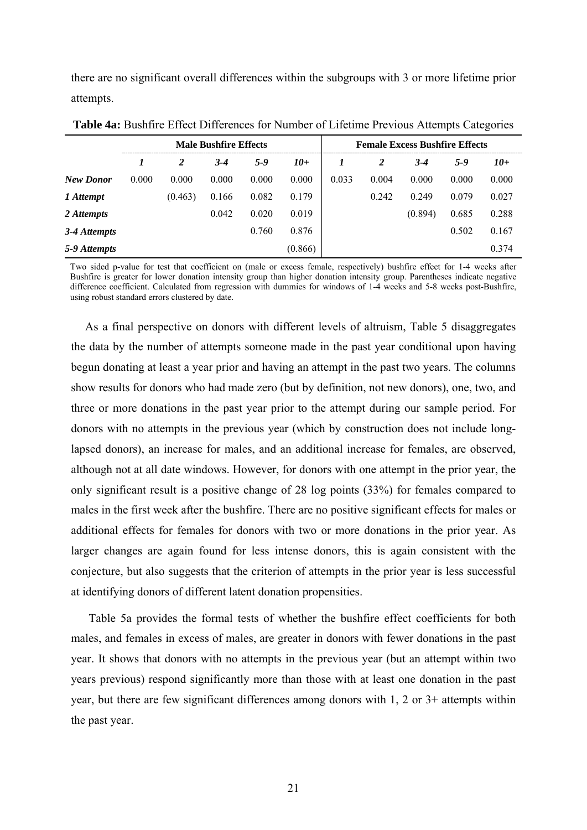there are no significant overall differences within the subgroups with 3 or more lifetime prior attempts.

|                  | <b>Male Bushfire Effects</b> |         |         |         |         | <b>Female Excess Bushfire Effects</b> |       |         |         |       |
|------------------|------------------------------|---------|---------|---------|---------|---------------------------------------|-------|---------|---------|-------|
|                  |                              | 2       | $3 - 4$ | $5 - 9$ | $10+$   |                                       | 2     | $3 - 4$ | $5 - 9$ | $10+$ |
| <b>New Donor</b> | 0.000                        | 0.000   | 0.000   | 0.000   | 0.000   | 0.033                                 | 0.004 | 0.000   | 0.000   | 0.000 |
| 1 Attempt        |                              | (0.463) | 0.166   | 0.082   | 0.179   |                                       | 0.242 | 0.249   | 0.079   | 0.027 |
| 2 Attempts       |                              |         | 0.042   | 0.020   | 0.019   |                                       |       | (0.894) | 0.685   | 0.288 |
| 3-4 Attempts     |                              |         |         | 0.760   | 0.876   |                                       |       |         | 0.502   | 0.167 |
| 5-9 Attempts     |                              |         |         |         | (0.866) |                                       |       |         |         | 0.374 |

**Table 4a:** Bushfire Effect Differences for Number of Lifetime Previous Attempts Categories

Two sided p-value for test that coefficient on (male or excess female, respectively) bushfire effect for 1-4 weeks after Bushfire is greater for lower donation intensity group than higher donation intensity group. Parentheses indicate negative difference coefficient. Calculated from regression with dummies for windows of 1-4 weeks and 5-8 weeks post-Bushfire, using robust standard errors clustered by date.

As a final perspective on donors with different levels of altruism, Table 5 disaggregates the data by the number of attempts someone made in the past year conditional upon having begun donating at least a year prior and having an attempt in the past two years. The columns show results for donors who had made zero (but by definition, not new donors), one, two, and three or more donations in the past year prior to the attempt during our sample period. For donors with no attempts in the previous year (which by construction does not include longlapsed donors), an increase for males, and an additional increase for females, are observed, although not at all date windows. However, for donors with one attempt in the prior year, the only significant result is a positive change of 28 log points (33%) for females compared to males in the first week after the bushfire. There are no positive significant effects for males or additional effects for females for donors with two or more donations in the prior year. As larger changes are again found for less intense donors, this is again consistent with the conjecture, but also suggests that the criterion of attempts in the prior year is less successful at identifying donors of different latent donation propensities.

Table 5a provides the formal tests of whether the bushfire effect coefficients for both males, and females in excess of males, are greater in donors with fewer donations in the past year. It shows that donors with no attempts in the previous year (but an attempt within two years previous) respond significantly more than those with at least one donation in the past year, but there are few significant differences among donors with 1, 2 or 3+ attempts within the past year.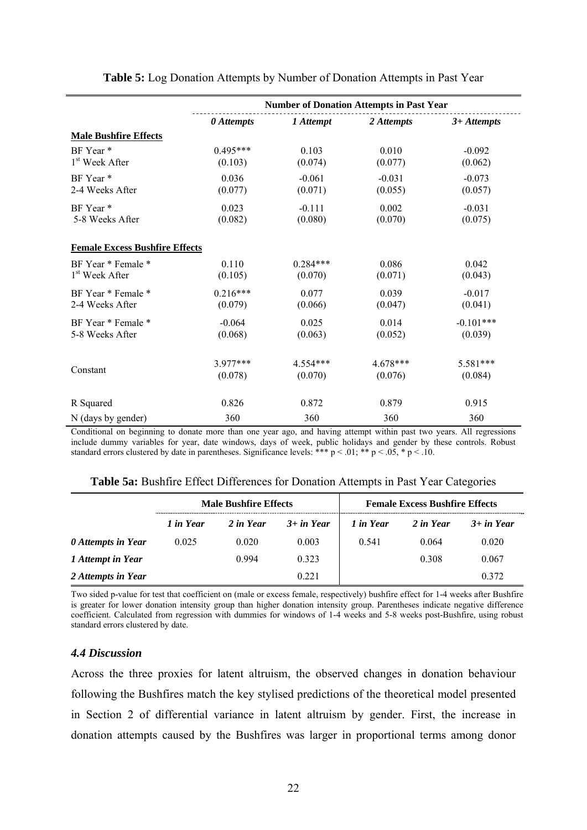|                                       | <b>Number of Donation Attempts in Past Year</b> |            |            |               |  |  |  |  |
|---------------------------------------|-------------------------------------------------|------------|------------|---------------|--|--|--|--|
|                                       | 0 Attempts                                      | 1 Attempt  | 2 Attempts | $3+At$ tempts |  |  |  |  |
| <b>Male Bushfire Effects</b>          |                                                 |            |            |               |  |  |  |  |
| BF Year*                              | $0.495***$                                      | 0.103      | 0.010      | $-0.092$      |  |  |  |  |
| 1 <sup>st</sup> Week After            | (0.103)                                         | (0.074)    | (0.077)    | (0.062)       |  |  |  |  |
| BF Year <sup>*</sup>                  | 0.036                                           | $-0.061$   | $-0.031$   | $-0.073$      |  |  |  |  |
| 2-4 Weeks After                       | (0.077)                                         | (0.071)    | (0.055)    | (0.057)       |  |  |  |  |
| BF Year <sup>*</sup>                  | 0.023                                           | $-0.111$   | 0.002      | $-0.031$      |  |  |  |  |
| 5-8 Weeks After                       | (0.082)                                         | (0.080)    | (0.070)    | (0.075)       |  |  |  |  |
| <b>Female Excess Bushfire Effects</b> |                                                 |            |            |               |  |  |  |  |
| BF Year * Female *                    | 0.110                                           | $0.284***$ | 0.086      | 0.042         |  |  |  |  |
| 1 <sup>st</sup> Week After            | (0.105)                                         | (0.070)    | (0.071)    | (0.043)       |  |  |  |  |
| BF Year * Female *                    | $0.216***$                                      | 0.077      | 0.039      | $-0.017$      |  |  |  |  |
| 2-4 Weeks After                       | (0.079)                                         | (0.066)    | (0.047)    | (0.041)       |  |  |  |  |
| BF Year * Female *                    | $-0.064$                                        | 0.025      | 0.014      | $-0.101***$   |  |  |  |  |
| 5-8 Weeks After                       | (0.068)                                         | (0.063)    | (0.052)    | (0.039)       |  |  |  |  |
| Constant                              | $3977***$                                       | $4.554***$ | $4.678***$ | 5.581***      |  |  |  |  |
|                                       | (0.078)                                         | (0.070)    | (0.076)    | (0.084)       |  |  |  |  |
| R Squared                             | 0.826                                           | 0.872      | 0.879      | 0.915         |  |  |  |  |
| N (days by gender)                    | 360                                             | 360        | 360        | 360           |  |  |  |  |

**Table 5:** Log Donation Attempts by Number of Donation Attempts in Past Year

Conditional on beginning to donate more than one year ago, and having attempt within past two years. All regressions include dummy variables for year, date windows, days of week, public holidays and gender by these controls. Robust standard errors clustered by date in parentheses. Significance levels: \*\*\*  $p < .01$ ; \*\*  $p < .05$ , \*  $p < .10$ .

|  |  | Table 5a: Bushfire Effect Differences for Donation Attempts in Past Year Categories |
|--|--|-------------------------------------------------------------------------------------|
|  |  |                                                                                     |

|                    |           | <b>Male Bushfire Effects</b> |              | <b>Female Excess Bushfire Effects</b> |           |              |  |
|--------------------|-----------|------------------------------|--------------|---------------------------------------|-----------|--------------|--|
|                    | 1 in Year | 2 in Year                    | $3+$ in Year | 1 in Year                             | 2 in Year | $3+$ in Year |  |
| 0 Attempts in Year | 0.025     | 0.020                        | 0.003        | 0.541                                 | 0.064     | 0.020        |  |
| 1 Attempt in Year  |           | 0.994                        | 0.323        |                                       | 0.308     | 0.067        |  |
| 2 Attempts in Year |           |                              | 0 2 2 1      |                                       |           | 0.372        |  |

Two sided p-value for test that coefficient on (male or excess female, respectively) bushfire effect for 1-4 weeks after Bushfire is greater for lower donation intensity group than higher donation intensity group. Parentheses indicate negative difference coefficient. Calculated from regression with dummies for windows of 1-4 weeks and 5-8 weeks post-Bushfire, using robust standard errors clustered by date.

# *4.4 Discussion*

Across the three proxies for latent altruism, the observed changes in donation behaviour following the Bushfires match the key stylised predictions of the theoretical model presented in Section 2 of differential variance in latent altruism by gender. First, the increase in donation attempts caused by the Bushfires was larger in proportional terms among donor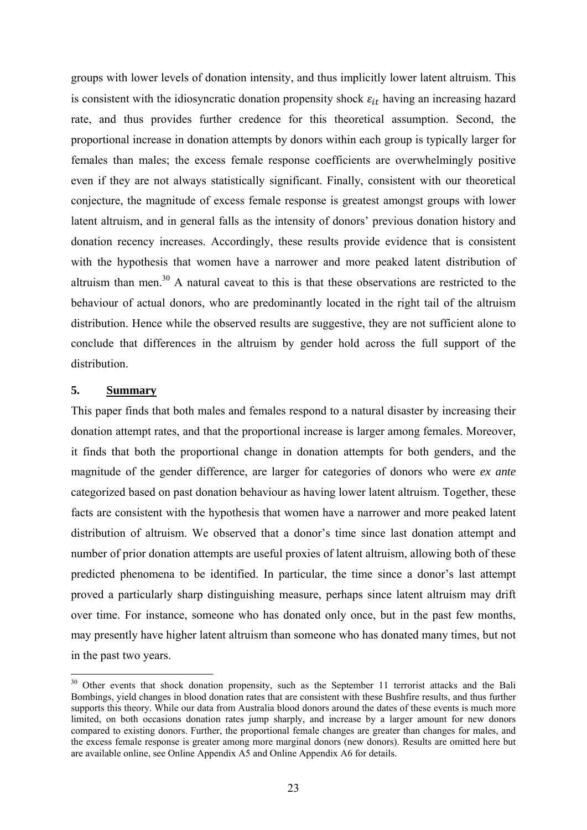groups with lower levels of donation intensity, and thus implicitly lower latent altruism. This is consistent with the idiosyncratic donation propensity shock  $\varepsilon_{it}$  having an increasing hazard rate, and thus provides further credence for this theoretical assumption. Second, the proportional increase in donation attempts by donors within each group is typically larger for females than males; the excess female response coefficients are overwhelmingly positive even if they are not always statistically significant. Finally, consistent with our theoretical conjecture, the magnitude of excess female response is greatest amongst groups with lower latent altruism, and in general falls as the intensity of donors' previous donation history and donation recency increases. Accordingly, these results provide evidence that is consistent with the hypothesis that women have a narrower and more peaked latent distribution of altruism than men.<sup>30</sup> A natural caveat to this is that these observations are restricted to the behaviour of actual donors, who are predominantly located in the right tail of the altruism distribution. Hence while the observed results are suggestive, they are not sufficient alone to conclude that differences in the altruism by gender hold across the full support of the distribution.

# **5. Summary**

1

This paper finds that both males and females respond to a natural disaster by increasing their donation attempt rates, and that the proportional increase is larger among females. Moreover, it finds that both the proportional change in donation attempts for both genders, and the magnitude of the gender difference, are larger for categories of donors who were *ex ante* categorized based on past donation behaviour as having lower latent altruism. Together, these facts are consistent with the hypothesis that women have a narrower and more peaked latent distribution of altruism. We observed that a donor's time since last donation attempt and number of prior donation attempts are useful proxies of latent altruism, allowing both of these predicted phenomena to be identified. In particular, the time since a donor's last attempt proved a particularly sharp distinguishing measure, perhaps since latent altruism may drift over time. For instance, someone who has donated only once, but in the past few months, may presently have higher latent altruism than someone who has donated many times, but not in the past two years.

<sup>&</sup>lt;sup>30</sup> Other events that shock donation propensity, such as the September 11 terrorist attacks and the Bali Bombings, yield changes in blood donation rates that are consistent with these Bushfire results, and thus further supports this theory. While our data from Australia blood donors around the dates of these events is much more limited, on both occasions donation rates jump sharply, and increase by a larger amount for new donors compared to existing donors. Further, the proportional female changes are greater than changes for males, and the excess female response is greater among more marginal donors (new donors). Results are omitted here but are available online, see Online Appendix A5 and Online Appendix A6 for details.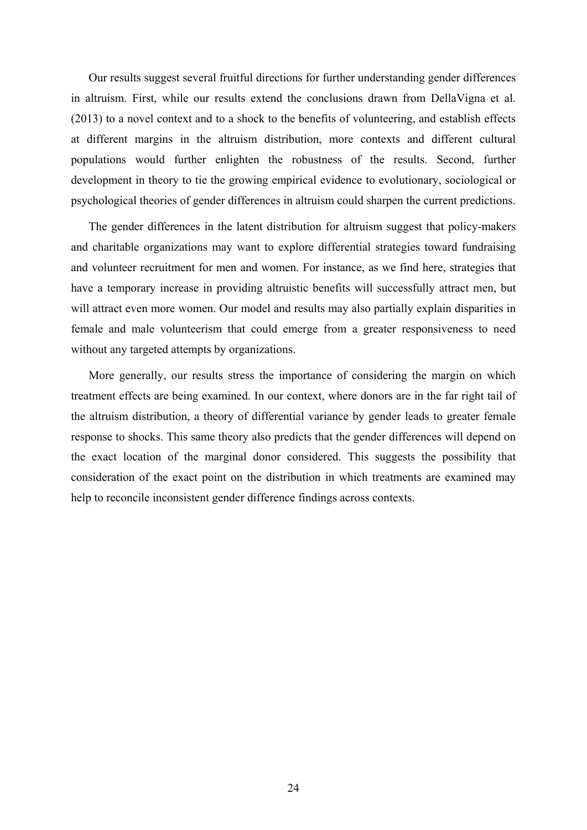Our results suggest several fruitful directions for further understanding gender differences in altruism. First, while our results extend the conclusions drawn from DellaVigna et al. (2013) to a novel context and to a shock to the benefits of volunteering, and establish effects at different margins in the altruism distribution, more contexts and different cultural populations would further enlighten the robustness of the results. Second, further development in theory to tie the growing empirical evidence to evolutionary, sociological or psychological theories of gender differences in altruism could sharpen the current predictions.

The gender differences in the latent distribution for altruism suggest that policy-makers and charitable organizations may want to explore differential strategies toward fundraising and volunteer recruitment for men and women. For instance, as we find here, strategies that have a temporary increase in providing altruistic benefits will successfully attract men, but will attract even more women. Our model and results may also partially explain disparities in female and male volunteerism that could emerge from a greater responsiveness to need without any targeted attempts by organizations.

More generally, our results stress the importance of considering the margin on which treatment effects are being examined. In our context, where donors are in the far right tail of the altruism distribution, a theory of differential variance by gender leads to greater female response to shocks. This same theory also predicts that the gender differences will depend on the exact location of the marginal donor considered. This suggests the possibility that consideration of the exact point on the distribution in which treatments are examined may help to reconcile inconsistent gender difference findings across contexts.